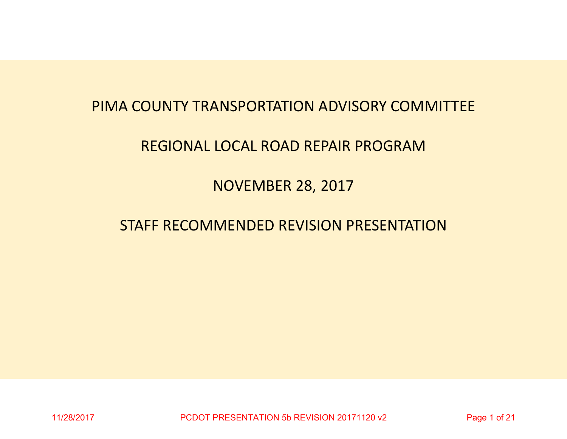# PIMA COUNTY TRANSPORTATION ADVISORY COMMITTEE

# REGIONAL LOCAL ROAD REPAIR PROGRAM

NOVEMBER 28, 2017

# STAFF RECOMMENDED REVISION PRESENTATION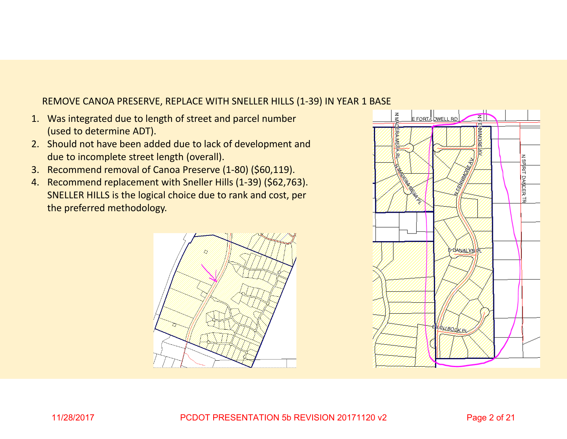## REMOVE CANOA PRESERVE, REPLACE WITH SNELLER HILLS (1‐39) IN YEAR 1 BASE

- 1. Was integrated due to length of street and parcel number (used to determine ADT).
- 2. Should not have been added due to lack of development and due to incomplete street length (overall).
- 3. Recommend removal of Canoa Preserve (1‐80) (\$60,119).
- 4. Recommend replacement with Sneller Hills (1‐39) (\$62,763). SNELLER HILLS is the logical choice due to rank and cost, per the preferred methodology.



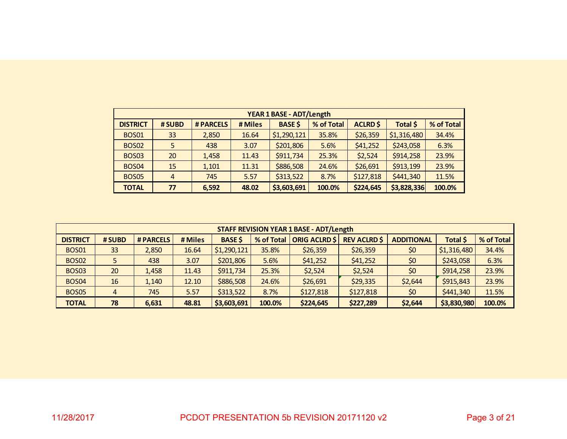|                 | <b>YEAR 1 BASE - ADT/Length</b>                                         |           |         |                |            |                 |             |            |  |  |  |  |  |  |
|-----------------|-------------------------------------------------------------------------|-----------|---------|----------------|------------|-----------------|-------------|------------|--|--|--|--|--|--|
| <b>DISTRICT</b> | # SUBD                                                                  | # PARCELS | # Miles | <b>BASE \$</b> | % of Total | <b>ACLRD \$</b> | Total \$    | % of Total |  |  |  |  |  |  |
| <b>BOS01</b>    | \$1,290,121<br>\$26,359<br>\$1,316,480<br>33<br>35.8%<br>16.64<br>2,850 |           |         |                |            |                 |             |            |  |  |  |  |  |  |
| <b>BOS02</b>    | \$201,806<br>\$41,252<br>\$243,058<br>5<br>438<br>3.07<br>5.6%          |           |         |                |            |                 |             |            |  |  |  |  |  |  |
| <b>BOS03</b>    | 20                                                                      | 1,458     | 11.43   | \$911,734      | 25.3%      | \$2,524         | \$914,258   | 23.9%      |  |  |  |  |  |  |
| <b>BOS04</b>    | 15                                                                      | 1,101     | 11.31   | \$886,508      | 24.6%      | \$26,691        | \$913,199   | 23.9%      |  |  |  |  |  |  |
| <b>BOS05</b>    | $\overline{4}$                                                          | 745       | 5.57    | \$313,522      | 8.7%       | \$127,818       | \$441,340   | 11.5%      |  |  |  |  |  |  |
| <b>TOTAL</b>    | 77                                                                      | 6,592     | 48.02   | \$3,603,691    | 100.0%     | \$224,645       | \$3,828,336 | 100.0%     |  |  |  |  |  |  |

|                 |        |           |         |                |            | <b>STAFF REVISION YEAR 1 BASE - ADT/Length</b> |                     |                   |             |            |
|-----------------|--------|-----------|---------|----------------|------------|------------------------------------------------|---------------------|-------------------|-------------|------------|
| <b>DISTRICT</b> | # SUBD | # PARCELS | # Miles | <b>BASE \$</b> | % of Total | <b>ORIG ACLRD \$</b>                           | <b>REV ACLRD \$</b> | <b>ADDITIONAL</b> | Total \$    | % of Total |
| <b>BOS01</b>    | 33     | 2,850     | 16.64   | \$1,290,121    | 35.8%      | \$26,359                                       | \$26,359            | \$0               | \$1,316,480 | 34.4%      |
| <b>BOS02</b>    |        | 438       | 3.07    | \$201,806      | 5.6%       | \$41,252                                       | \$41,252            | \$0               | \$243,058   | 6.3%       |
| <b>BOS03</b>    | 20     | 1,458     | 11.43   | \$911,734      | 25.3%      | \$2,524                                        | \$2,524             | \$0               | \$914,258   | 23.9%      |
| <b>BOS04</b>    | 16     | 1,140     | 12.10   | \$886,508      | 24.6%      | \$26,691                                       | \$29,335            | \$2,644           | \$915,843   | 23.9%      |
| <b>BOS05</b>    | 4      | 745       | 5.57    | \$313,522      | 8.7%       | \$127,818                                      | \$127,818           | \$0               | \$441,340   | 11.5%      |
| <b>TOTAL</b>    | 78     | 6,631     | 48.81   | \$3,603,691    | 100.0%     | \$224,645                                      | \$227,289           | \$2,644           | \$3,830,980 | 100.0%     |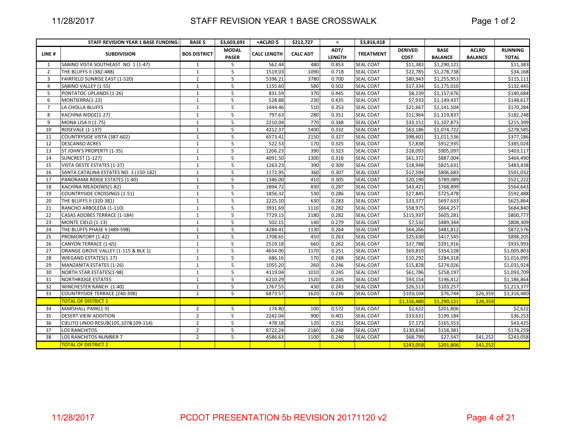## STAFF REVISION YEAR 1 BASE CROSSWALK

|                | STAFF REVISION YEAR 1 BASE FUNDING:    | <b>BASE \$</b>      | \$3,603,691    | +ACLRD \$          | \$212,727       | $\equiv$      | \$3,816,418      |                |                |                |                |
|----------------|----------------------------------------|---------------------|----------------|--------------------|-----------------|---------------|------------------|----------------|----------------|----------------|----------------|
| LINE#          | <b>SUBDIVISION</b>                     | <b>BOS DISTRICT</b> | <b>MODAL</b>   | <b>CALC LENGTH</b> | <b>CALC ADT</b> | ADT/          | <b>TREATMENT</b> | <b>DERIVED</b> | <b>BASE</b>    | <b>ACLRD</b>   | <b>RUNNING</b> |
|                |                                        |                     | <b>PASER</b>   |                    |                 | <b>LENGTH</b> |                  | <b>COST</b>    | <b>BALANCE</b> | <b>BALANCE</b> | <b>TOTAL</b>   |
| 1              | SABINO VISTA SOUTHEAST NO. 1 (1-47)    | 1                   | 5              | 562.44             | 480             | 0.853         | <b>SEAL COAT</b> | \$11,383       | \$1,290,121    |                | \$11,383       |
| $\overline{2}$ | THE BLUFFS II (382-488)                | $\mathbf{1}$        | 5              | 1519.03            | 1090            | 0.718         | <b>SEAL COAT</b> | \$22,785       | \$1,278,738    |                | \$34,168       |
| 3              | FAIRFIELD SUNRISE EAST (1-520)         | $\mathbf{1}$        | 5              | 5396.21            | 3780            | 0.700         | <b>SEAL COAT</b> | \$80,943       | \$1,255,953    |                | \$115,111      |
| $\overline{4}$ | SABINO VALLEY (1-55)                   | $\mathbf{1}$        | 5              | 1155.60            | 580             | 0.502         | <b>SEAL COAT</b> | \$17,334       | \$1,175,010    |                | \$132,445      |
| 5              | PONTATOC UPLANDS (1-26)                | $\mathbf{1}$        | 5              | 831.59             | 370             | 0.445         | <b>SEAL COAT</b> | \$8,239        | \$1,157,676    |                | \$140,684      |
| 6              | MONTIERRA(1-22)                        | $\mathbf{1}$        | 5              | 528.88             | 230             | 0.435         | <b>SEAL COAT</b> | \$7,933        | \$1,149,437    |                | \$148,617      |
| $\overline{7}$ | LA CHOLLA BLUFFS                       | $\mathbf{1}$        | 5              | 1444.46            | 510             | 0.353         | <b>SEAL COAT</b> | \$21,667       | \$1,141,504    |                | \$170,284      |
| 8              | KACHINA RIDGE(1-27)                    | $\mathbf{1}$        | 5              | 797.63             | 280             | 0.351         | <b>SEAL COAT</b> | \$11,964       | \$1,119,837    |                | \$182,248      |
| 9              | <b>MONA LISA II (1-75)</b>             | $\mathbf{1}$        | 5              | 2210.04            | 770             | 0.348         | <b>SEAL COAT</b> | \$33,151       | \$1,107,873    |                | \$215,399      |
| 10             | <b>ROSEVALE (1-137)</b>                | $\mathbf{1}$        | 5              | 4212.37            | 1400            | 0.332         | <b>SEAL COAT</b> | \$63,186       | \$1,074,722    |                | \$278,585      |
| 11             | COUNTRYSIDE VISTA (387-602)            | $\mathbf{1}$        | 5              | 6573.41            | 2150            | 0.327         | <b>SEAL COAT</b> | \$98,601       | \$1,011,536    |                | \$377,186      |
| 12             | <b>DESCANSO ACRES</b>                  | $\mathbf{1}$        | 5              | 522.53             | 170             | 0.325         | <b>SEAL COAT</b> | \$7,838        | \$912,935      |                | \$385,024      |
| 13             | ST JOHN'S PROPERTY (1-35)              | $\mathbf{1}$        | 5              | 1206.23            | 390             | 0.323         | <b>SEAL COAT</b> | \$18,093       | \$905,097      |                | \$403,117      |
| 14             | <b>SUNCREST (1-127)</b>                | $\mathbf{1}$        | 5              | 4091.50            | 1300            | 0.318         | <b>SEAL COAT</b> | \$61,372       | \$887,004      |                | \$464,490      |
| 15             | VISTA OESTE ESTATES (1-37)             | $\mathbf{1}$        | 5              | 1263.23            | 390             | 0.309         | <b>SEAL COAT</b> | \$18,948       | \$825,631      |                | \$483,438      |
| 16             | SANTA CATALINA ESTATES NO. 3 (150-182) | $\mathbf{1}$        | 5              | 1172.95            | 360             | 0.307         | <b>SEAL COAT</b> | \$17,594       | \$806,683      |                | \$501,032      |
| 17             | PANORAMA RIDGE ESTATES (1-40)          | $\mathbf{1}$        | 5              | 1346.00            | 410             | 0.305         | <b>SEAL COAT</b> | \$20,190       | \$789,089      |                | \$521,222      |
| 18             | KACHINA MEADOWS(1-82)                  | $\mathbf{1}$        | 5              | 2894.72            | 830             | 0.287         | <b>SEAL COAT</b> | \$43,421       | \$768,899      |                | \$564,643      |
| 19             | <b>COUNTRYSIDE CROSSINGS (1-51)</b>    | $\mathbf{1}$        | 5              | 1856.32            | 530             | 0.286         | <b>SEAL COAT</b> | \$27,845       | \$725,478      |                | \$592,488      |
| 20             | THE BLUFFS II (320-381)                | $\mathbf{1}$        | 5              | 2225.10            | 630             | 0.283         | <b>SEAL COAT</b> | \$33,377       | \$697,633      |                | \$625,864      |
| 21             | RANCHO ARBOLEDA (1-110)                | $\mathbf{1}$        | 5              | 3931.69            | 1110            | 0.282         | <b>SEAL COAT</b> | \$58,975       | \$664,257      |                | \$684,840      |
| 22             | CASAS ADOBES TERRACE (1-184)           | $\mathbf{1}$        | 5              | 7729.15            | 2180            | 0.282         | <b>SEAL COAT</b> | \$115,937      | \$605,281      |                | \$800,777      |
| 23             | MONTE CIELO (1-13)                     | $\mathbf{1}$        | 5              | 502.15             | 140             | 0.279         | <b>SEAL COAT</b> | \$7,532        | \$489,344      |                | \$808,309      |
| 24             | THE BLUFFS PHASE II (489-598)          | $\mathbf{1}$        | 5              | 4284.41            | 1130            | 0.264         | <b>SEAL COAT</b> | \$64,266       | \$481,812      |                | \$872,576      |
| 25             | PROMONTORY (1-42)                      | $\mathbf{1}$        | 5              | 1708.65            | 450             | 0.263         | <b>SEAL COAT</b> | \$25,630       | \$417,545      |                | \$898,205      |
| 26             | CANYON TERRACE (1-65)                  | $\mathbf{1}$        | 5              | 2519.18            | 660             | 0.262         | <b>SEAL COAT</b> | \$37,788       | \$391,916      |                | \$935,993      |
| 27             | ORANGE GROVE VALLEY (1-115 & BLK 1)    | $\mathbf{1}$        | 5              | 4654.00            | 1170            | 0.251         | <b>SEAL COAT</b> | \$69,810       | \$354,128      |                | \$1,005,803    |
| 28             | WIEGAND ESTATES(1-17)                  | $\mathbf{1}$        | 5              | 686.16             | 170             | 0.248         | <b>SEAL COAT</b> | \$10,292       | \$284,318      |                | \$1,016,095    |
| 29             | MANZANITA ESTATES (1-26)               | $\mathbf{1}$        | 5              | 1055.20            | 260             | 0.246         | <b>SEAL COAT</b> | \$15,828       | \$274,026      |                | \$1,031,924    |
| 30             | <b>NORTH STAR ESTATES(1-98)</b>        | $\mathbf{1}$        | 5              | 4119.04            | 1010            | 0.245         | <b>SEAL COAT</b> | \$61,786       | \$258,197      |                | \$1,093,709    |
| 31             | <b>NORTHRIDGE ESTATES</b>              | $\mathbf{1}$        | 5              | 6210.29            | 1520            | 0.245         | SEAL COAT        | \$93,154       | \$196,412      |                | \$1,186,864    |
| 32             | WINCHESTER RANCH (1-40)                | $\mathbf{1}$        | 5              | 1767.55            | 430             | 0.243         | <b>SEAL COAT</b> | \$26,513       | \$103,257      |                | \$1,213,377    |
| 33             | COUNTRYSIDE TERRACE (240-398)          | $\mathbf{1}$        | 5              | 6873.57            | 1620            | 0.236         | <b>SEAL COAT</b> | \$103,104      | \$76,744       | \$26,359       | \$1,316,480    |
|                | <b>TOTAL OF DISTRICT 1</b>             |                     |                |                    |                 |               |                  | \$1,316,480    | \$1,290,121    | \$26,359       |                |
| 34             | MARSHALL PARK(1-9)                     | $\overline{2}$      | 5              | 174.80             | 100             | 0.572         | <b>SEAL COAT</b> | \$2,622        | \$201,806      |                | \$2,622        |
| 35             | <b>DESERT VIEW ADDITION</b>            | $\overline{2}$      | 5              | 2242.04            | 900             | 0.401         | <b>SEAL COAT</b> | \$33,631       | \$199,184      |                | \$36,253       |
| 36             | CIELITO LINDO RESUB(105,107&109-114)   | $\overline{2}$      | 5              | 478.18             | 120             | 0.251         | <b>SEAL COAT</b> | \$7,173        | \$165,553      |                | \$43,425       |
| 37             | <b>LOS RANCHITOS</b>                   | $\overline{2}$      | 5              | 8722.24            | 2160            | 0.248         | <b>SEAL COAT</b> | \$130,834      | \$158,381      |                | \$174,259      |
| 38             | LOS RANCHITOS NUMBER 7                 | $\overline{2}$      | $\overline{5}$ | 4586.63            | 1100            | 0.240         | <b>SEAL COAT</b> | \$68,799       | \$27,547       | \$41,252       | \$243,058      |
|                | <b>TOTAL OF DISTRICT 2</b>             |                     |                |                    |                 |               |                  | \$243,058      | \$201,806      | \$41,252       |                |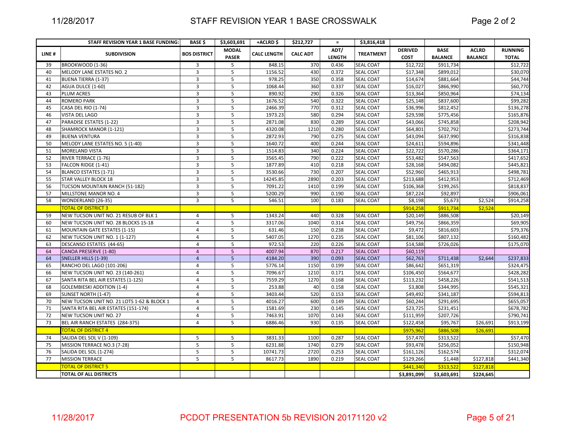## STAFF REVISION YEAR 1 BASE CROSSWALK

|       | STAFF REVISION YEAR 1 BASE FUNDING:        | <b>BASE \$</b>          | \$3,603,691                  | +ACLRD \$          | \$212,727       | $\equiv$              | \$3,816,418      |                               |                               |                                |                                |
|-------|--------------------------------------------|-------------------------|------------------------------|--------------------|-----------------|-----------------------|------------------|-------------------------------|-------------------------------|--------------------------------|--------------------------------|
| LINE# | <b>SUBDIVISION</b>                         | <b>BOS DISTRICT</b>     | <b>MODAL</b><br><b>PASER</b> | <b>CALC LENGTH</b> | <b>CALC ADT</b> | ADT/<br><b>LENGTH</b> | <b>TREATMENT</b> | <b>DERIVED</b><br><b>COST</b> | <b>BASE</b><br><b>BALANCE</b> | <b>ACLRD</b><br><b>BALANCE</b> | <b>RUNNING</b><br><b>TOTAL</b> |
| 39    | BROOKWOOD (1-36)                           | 3                       | 5                            | 848.15             | 370             | 0.436                 | SEAL COAT        | \$12,722                      | \$911,734                     |                                | \$12,722                       |
| 40    | MELODY LANE ESTATES NO. 2                  | $\overline{3}$          | 5                            | 1156.52            | 430             | 0.372                 | SEAL COAT        | \$17,348                      | \$899,012                     |                                | \$30,070                       |
| 41    | <b>BUENA TIERRA (1-37)</b>                 | 3                       | 5                            | 978.25             | 350             | 0.358                 | <b>SEAL COAT</b> | \$14,674                      | \$881,664                     |                                | \$44,744                       |
| 42    | AGUA DULCE (1-60)                          | $\overline{3}$          | 5                            | 1068.44            | 360             | 0.337                 | <b>SEAL COAT</b> | \$16,027                      | \$866,990                     |                                | \$60,770                       |
| 43    | <b>PLUM ACRES</b>                          | $\overline{3}$          | 5                            | 890.92             | 290             | 0.326                 | <b>SEAL COAT</b> | \$13,364                      | \$850,964                     |                                | \$74,134                       |
| 44    | <b>ROMERO PARK</b>                         | $\overline{3}$          | 5                            | 1676.52            | 540             | 0.322                 | <b>SEAL COAT</b> | \$25,148                      | \$837,600                     |                                | \$99,282                       |
| 45    | CASA DEL RIO (1-74)                        | $\overline{3}$          | 5                            | 2466.39            | 770             | 0.312                 | <b>SEAL COAT</b> | \$36,996                      | \$812,452                     |                                | \$136,278                      |
| 46    | <b>VISTA DEL LAGO</b>                      | $\overline{3}$          | 5                            | 1973.23            | 580             | 0.294                 | <b>SEAL COAT</b> | \$29,598                      | \$775,456                     |                                | \$165,876                      |
| 47    | PARADISE ESTATES (1-22)                    | $\overline{3}$          | 5                            | 2871.08            | 830             | 0.289                 | <b>SEAL COAT</b> | \$43,066                      | \$745,858                     |                                | \$208,942                      |
| 48    | SHAMROCK MANOR (1-121)                     | $\overline{\mathbf{3}}$ | 5                            | 4320.08            | 1210            | 0.280                 | <b>SEAL COAT</b> | \$64,801                      | \$702,792                     |                                | \$273,744                      |
| 49    | <b>BUENA VENTURA</b>                       | $\overline{3}$          | 5                            | 2872.93            | 790             | 0.275                 | SEAL COAT        | \$43,094                      | \$637,990                     |                                | \$316,838                      |
| 50    | MELODY LANE ESTATES NO. 5 (1-40)           | 3                       | 5                            | 1640.72            | 400             | 0.244                 | <b>SEAL COAT</b> | \$24,611                      | \$594,896                     |                                | \$341,448                      |
| 51    | MORELAND VISTA                             | $\overline{3}$          | 5                            | 1514.83            | 340             | 0.224                 | <b>SEAL COAT</b> | \$22,722                      | \$570,286                     |                                | \$364,171                      |
| 52    | RIVER TERRACE (1-76)                       | $\overline{3}$          | 5                            | 3565.45            | 790             | 0.222                 | <b>SEAL COAT</b> | \$53,482                      | \$547,563                     |                                | \$417,652                      |
| 53    | FALCON RIDGE (1-41)                        | $\overline{3}$          | 5                            | 1877.89            | 410             | 0.218                 | SEAL COAT        | \$28,168                      | \$494,082                     |                                | \$445,821                      |
| 54    | BLANCO ESTATES (1-71)                      | $\overline{3}$          | 5                            | 3530.66            | 730             | 0.207                 | <b>SEAL COAT</b> | \$52,960                      | \$465,913                     |                                | \$498,781                      |
| 55    | <b>STAR VALLEY BLOCK 18</b>                | $\overline{3}$          | 5                            | 14245.85           | 2890            | 0.203                 | <b>SEAL COAT</b> | \$213,688                     | \$412,953                     |                                | \$712,469                      |
| 56    | TUCSON MOUNTAIN RANCH (51-182)             | $\overline{3}$          | $\overline{5}$               | 7091.22            | 1410            | 0.199                 | <b>SEAL COAT</b> | \$106,368                     | \$199,265                     |                                | \$818,837                      |
| 57    | MILLSTONE MANOR NO. 4                      | 3                       | 5                            | 5200.29            | 990             | 0.190                 | <b>SEAL COAT</b> | \$87,224                      | \$92,897                      |                                | \$906,061                      |
| 58    | WONDERLAND (26-35)                         | $\overline{3}$          | 5                            | 546.51             | 100             | 0.183                 | <b>SEAL COAT</b> | \$8,198                       | \$5,673                       | \$2,524                        | \$914,258                      |
|       | <b>TOTAL OF DISTRICT 3</b>                 |                         |                              |                    |                 |                       |                  | \$914,258                     | \$911,734                     | \$2,524                        |                                |
| 59    | NEW TUCSON UNIT NO. 21 RESUB OF BLK 1      | 4                       | 5                            | 1343.24            | 440             | 0.328                 | <b>SEAL COAT</b> | \$20,149                      | \$886,508                     |                                | \$20,149                       |
| 60    | NEW TUCSON UNIT NO. 28 BLOCKS 15-18        | $\overline{4}$          | $\overline{\mathbf{5}}$      | 3317.06            | 1040            | 0.314                 | SEAL COAT        | \$49,756                      | \$866,359                     |                                | \$69,905                       |
| 61    | <b>MOUNTAIN GATE ESTATES (1-15)</b>        | $\overline{4}$          | 5                            | 631.46             | 150             | 0.238                 | SEAL COAT        | \$9,472                       | \$816,603                     |                                | \$79,376                       |
| 62    | NEW TUCSON UNIT NO. 1 (1-127)              | $\overline{4}$          | 5                            | 5407.05            | 1270            | 0.235                 | <b>SEAL COAT</b> | \$81,106                      | \$807,132                     |                                | \$160,482                      |
| 63    | DESCANSO ESTATES (44-65)                   | $\overline{4}$          | 5                            | 972.53             | 220             | 0.226                 | <b>SEAL COAT</b> | \$14,588                      | \$726,026                     |                                | \$175,070                      |
| 64    | CANOA PRESERVE (1-80)                      | $\overline{4}$          | 5                            | 4007.94            | 870             | 0.217                 | <b>SEAL COAT</b> | \$60,119                      |                               |                                |                                |
| 64    | <b>SNELLER HILLS (1-39)</b>                | $\overline{4}$          | 5 <sup>5</sup>               | 4184.20            | 390             | 0.093                 | <b>SEAL COAT</b> | \$62,763                      | \$711,438                     | \$2,644                        | \$237,833                      |
| 65    | RANCHO DEL LAGO (101-206)                  | $\overline{4}$          | 5                            | 5776.14            | 1150            | 0.199                 | <b>SEAL COAT</b> | \$86,642                      | \$651,319                     |                                | \$324,475                      |
| 66    | NEW TUCSON UNIT NO. 23 (140-261)           | $\overline{4}$          | 5                            | 7096.67            | 1210            | 0.171                 | <b>SEAL COAT</b> | \$106,450                     | \$564,677                     |                                | \$428,282                      |
| 67    | SANTA RITA BEL AIR ESTATES (1-125)         | $\overline{4}$          | 5                            | 7559.29            | 1270            | 0.168                 | <b>SEAL COAT</b> | \$113,232                     | \$458,226                     |                                | \$541,513                      |
| 68    | <b>GOLEMBIESKI ADDITION (1-4)</b>          | $\overline{4}$          | 5                            | 253.88             | 40              | 0.158                 | <b>SEAL COAT</b> | \$3,808                       | \$344,995                     |                                | \$545,321                      |
| 69    | SUNSET NORTH (1-47)                        | $\overline{4}$          | 5                            | 3403.44            | 520             | 0.153                 | SEAL COAT        | \$49,492                      | \$341,187                     |                                | \$594,813                      |
| 70    | NEW TUCSON UNIT NO. 21 LOTS 1-62 & BLOCK 1 | 4                       | 5                            | 4016.27            | 600             | 0.149                 | SEAL COAT        | \$60,244                      | \$291,695                     |                                | \$655,057                      |
| 71    | SANTA RITA BEL AIR ESTATES (151-174)       | $\overline{4}$          | 5                            | 1581.69            | 230             | 0.145                 | SEAL COAT        | \$23,725                      | \$231,451                     |                                | \$678,782                      |
| 72    | NEW TUCSON UNIT NO. 27                     | $\overline{4}$          | 5                            | 7463.91            | 1070            | 0.143                 | <b>SEAL COAT</b> | \$111,959                     | \$207,726                     |                                | \$790,741                      |
| 73    | BEL AIR RANCH ESTATES (284-375)            | $\overline{4}$          | 5                            | 6886.46            | 930             | 0.135                 | SEAL COAT        | \$122,458                     | \$95,767                      | \$26,691                       | \$913,199                      |
|       | <b>TOTAL OF DISTRICT 4</b>                 |                         |                              |                    |                 |                       |                  | \$975,962                     | \$886,508                     | \$26,691                       |                                |
| 74    | SALIDA DEL SOL V (1-109)                   | 5                       | 5                            | 3831.33            | 1100            | 0.287                 | SEAL COAT        | \$57,470                      | \$313,522                     |                                | \$57,470                       |
| 75    | MISSION TERRACE NO.3 (7-28)                | 5                       | 5                            | 6231.88            | 1740            | 0.279                 | SEAL COAT        | \$93,478                      | \$256,052                     |                                | \$150,948                      |
| 76    | SALIDA DEL SOL (1-274)                     | 5                       | 5                            | 10741.73           | 2720            | 0.253                 | <b>SEAL COAT</b> | \$161,126                     | \$162,574                     |                                | \$312,074                      |
| 77    | <b>MISSION TERRACE</b>                     | 5                       | 5                            | 8617.73            | 1890            | 0.219                 | SEAL COAT        | \$129,266                     | \$1,448                       | \$127,818                      | \$441,340                      |
|       | <b>TOTAL OF DISTRICT 5</b>                 |                         |                              |                    |                 |                       |                  | \$441,340                     | \$313,522                     | \$127,818                      |                                |
|       | <b>TOTAL OF ALL DISTRICTS</b>              |                         |                              |                    |                 |                       |                  | \$3,891,099                   | \$3,603,691                   | \$224,645                      |                                |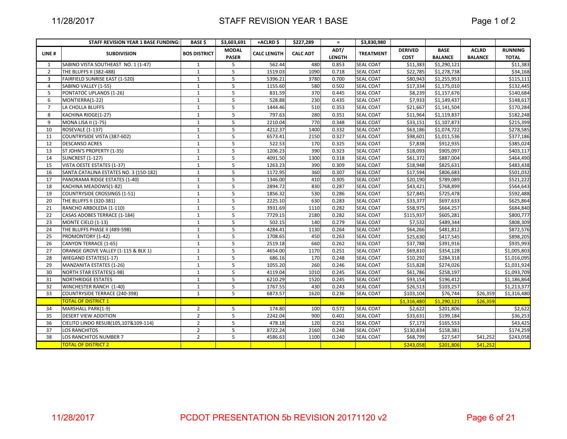|                 | STAFF REVISION YEAR 1 BASE FUNDING:    | <b>BASE \$</b>      | \$3,603,691  | +ACLRD\$           | \$227,289       | $\equiv$      | \$3,830,980      |                |                |                |                |
|-----------------|----------------------------------------|---------------------|--------------|--------------------|-----------------|---------------|------------------|----------------|----------------|----------------|----------------|
| LINE#           | <b>SUBDIVISION</b>                     | <b>BOS DISTRICT</b> | <b>MODAL</b> | <b>CALC LENGTH</b> | <b>CALC ADT</b> | ADT/          | <b>TREATMENT</b> | <b>DERIVED</b> | <b>BASE</b>    | <b>ACLRD</b>   | <b>RUNNING</b> |
|                 |                                        |                     | <b>PASER</b> |                    |                 | <b>LENGTH</b> |                  | <b>COST</b>    | <b>BALANCE</b> | <b>BALANCE</b> | <b>TOTAL</b>   |
| 1               | SABINO VISTA SOUTHEAST NO. 1 (1-47)    | 1                   | 5            | 562.44             | 480             | 0.853         | <b>SEAL COAT</b> | \$11,383       | \$1,290,121    |                | \$11,383       |
| $\overline{2}$  | THE BLUFFS II (382-488)                | 1                   | 5            | 1519.03            | 1090            | 0.718         | <b>SEAL COAT</b> | \$22,785       | \$1,278,738    |                | \$34,168       |
| $\overline{3}$  | FAIRFIELD SUNRISE EAST (1-520)         | $\mathbf{1}$        | 5            | 5396.21            | 3780            | 0.700         | <b>SEAL COAT</b> | \$80,943       | \$1,255,953    |                | \$115,111      |
| 4               | SABINO VALLEY (1-55)                   | $\mathbf{1}$        | 5            | 1155.60            | 580             | 0.502         | <b>SEAL COAT</b> | \$17,334       | \$1,175,010    |                | \$132,445      |
| 5               | PONTATOC UPLANDS (1-26)                | $\mathbf{1}$        | 5            | 831.59             | 370             | 0.445         | <b>SEAL COAT</b> | \$8,239        | \$1,157,676    |                | \$140,684      |
| 6               | MONTIERRA(1-22)                        | $\mathbf{1}$        | 5            | 528.88             | 230             | 0.435         | <b>SEAL COAT</b> | \$7,933        | \$1,149,437    |                | \$148,617      |
| $\overline{7}$  | LA CHOLLA BLUFFS                       | $\mathbf{1}$        | 5            | 1444.46            | 510             | 0.353         | <b>SEAL COAT</b> | \$21,667       | \$1,141,504    |                | \$170,284      |
| 8               | KACHINA RIDGE(1-27)                    | $\mathbf{1}$        | 5            | 797.63             | 280             | 0.351         | <b>SEAL COAT</b> | \$11,964       | \$1,119,837    |                | \$182,248      |
| 9               | <b>MONA LISA II (1-75)</b>             | $\mathbf{1}$        | 5            | 2210.04            | 770             | 0.348         | <b>SEAL COAT</b> | \$33,151       | \$1,107,873    |                | \$215,399      |
| 10              | <b>ROSEVALE (1-137)</b>                | $\mathbf{1}$        | 5            | 4212.37            | 1400            | 0.332         | <b>SEAL COAT</b> | \$63,186       | \$1,074,722    |                | \$278,585      |
| 11              | COUNTRYSIDE VISTA (387-602)            | $\mathbf{1}$        | 5            | 6573.41            | 2150            | 0.327         | <b>SEAL COAT</b> | \$98,601       | \$1,011,536    |                | \$377,186      |
| 12              | <b>DESCANSO ACRES</b>                  | $\mathbf{1}$        | 5            | 522.53             | 170             | 0.325         | <b>SEAL COAT</b> | \$7,838        | \$912,935      |                | \$385,024      |
| 13              | ST JOHN'S PROPERTY (1-35)              | $\mathbf{1}$        | 5            | 1206.23            | 390             | 0.323         | <b>SEAL COAT</b> | \$18,093       | \$905,097      |                | \$403,117      |
| 14              | <b>SUNCREST (1-127)</b>                | $\mathbf{1}$        | 5            | 4091.50            | 1300            | 0.318         | <b>SEAL COAT</b> | \$61,372       | \$887,004      |                | \$464,490      |
| 15              | VISTA OESTE ESTATES (1-37)             | $\mathbf{1}$        | 5            | 1263.23            | 390             | 0.309         | <b>SEAL COAT</b> | \$18,948       | \$825,631      |                | \$483,438      |
| 16              | SANTA CATALINA ESTATES NO. 3 (150-182) | $\mathbf{1}$        | 5            | 1172.95            | 360             | 0.307         | <b>SEAL COAT</b> | \$17,594       | \$806,683      |                | \$501,032      |
| 17              | PANORAMA RIDGE ESTATES (1-40)          | $\mathbf{1}$        | 5            | 1346.00            | 410             | 0.305         | <b>SEAL COAT</b> | \$20,190       | \$789,089      |                | 5521,222       |
| 18              | KACHINA MEADOWS(1-82)                  | 1                   | 5            | 2894.72            | 830             | 0.287         | <b>SEAL COAT</b> | \$43,421       | \$768,899      |                | \$564,643      |
| 19              | <b>COUNTRYSIDE CROSSINGS (1-51)</b>    | $\mathbf{1}$        | 5            | 1856.32            | 530             | 0.286         | <b>SEAL COAT</b> | \$27,845       | \$725,478      |                | \$592,488      |
| 20              | THE BLUFFS II (320-381)                | $\mathbf{1}$        | 5            | 2225.10            | 630             | 0.283         | <b>SEAL COAT</b> | \$33,377       | \$697,633      |                | \$625,864      |
| 21              | RANCHO ARBOLEDA (1-110)                | $\mathbf{1}$        | 5            | 3931.69            | 1110            | 0.282         | <b>SEAL COAT</b> | \$58,975       | \$664,257      |                | \$684,840      |
| 22              | CASAS ADOBES TERRACE (1-184)           | $\mathbf{1}$        | 5            | 7729.15            | 2180            | 0.282         | <b>SEAL COAT</b> | \$115,937      | \$605,281      |                | \$800,777      |
| 23              | MONTE CIELO (1-13)                     | $\mathbf{1}$        | 5            | 502.15             | 140             | 0.279         | <b>SEAL COAT</b> | \$7,532        | \$489,344      |                | \$808,309      |
| 24              | THE BLUFFS PHASE II (489-598)          | $\mathbf{1}$        | 5            | 4284.41            | 1130            | 0.264         | <b>SEAL COAT</b> | \$64,266       | \$481,812      |                | \$872,576      |
| 25              | PROMONTORY (1-42)                      | $\mathbf{1}$        | 5            | 1708.65            | 450             | 0.263         | <b>SEAL COAT</b> | \$25,630       | \$417,545      |                | \$898,205      |
| 26              | CANYON TERRACE (1-65)                  | $\mathbf{1}$        | 5            | 2519.18            | 660             | 0.262         | <b>SEAL COAT</b> | \$37,788       | \$391,916      |                | \$935,993      |
| 27              | ORANGE GROVE VALLEY (1-115 & BLK 1)    | $\mathbf{1}$        | 5            | 4654.00            | 1170            | 0.251         | <b>SEAL COAT</b> | \$69,810       | \$354,128      |                | \$1,005,803    |
| 28              | WIEGAND ESTATES(1-17)                  | $\mathbf{1}$        | 5            | 686.16             | 170             | 0.248         | <b>SEAL COAT</b> | \$10,292       | \$284,318      |                | \$1,016,095    |
| 29              | <b>MANZANITA ESTATES (1-26)</b>        | $\mathbf{1}$        | 5            | 1055.20            | 260             | 0.246         | <b>SEAL COAT</b> | \$15,828       | \$274,026      |                | \$1,031,924    |
| 30              | <b>NORTH STAR ESTATES(1-98)</b>        | $\mathbf{1}$        | 5            | 4119.04            | 1010            | 0.245         | <b>SEAL COAT</b> | \$61,786       | \$258,197      |                | \$1,093,709    |
| 31              | <b>NORTHRIDGE ESTATES</b>              | $\mathbf{1}$        | 5            | 6210.29            | 1520            | 0.245         | <b>SEAL COAT</b> | \$93,154       | \$196,412      |                | \$1,186,864    |
| 32              | WINCHESTER RANCH (1-40)                | $\mathbf{1}$        | 5            | 1767.55            | 430             | 0.243         | <b>SEAL COAT</b> | \$26,513       | \$103,257      |                | \$1,213,377    |
| $\overline{33}$ | COUNTRYSIDE TERRACE (240-398)          | $\mathbf{1}$        | 5            | 6873.57            | 1620            | 0.236         | <b>SEAL COAT</b> | \$103,104      | \$76,744       | \$26,359       | \$1,316,480    |
|                 | <b>TOTAL OF DISTRICT 1</b>             |                     |              |                    |                 |               |                  | \$1,316,480    | \$1,290,121    | \$26,359       |                |
| 34              | MARSHALL PARK(1-9)                     | $\overline{2}$      | 5            | 174.80             | 100             | 0.572         | <b>SEAL COAT</b> | \$2,622        | \$201,806      |                | \$2,622        |
| 35              | DESERT VIEW ADDITION                   | $\overline{2}$      | 5            | 2242.04            | 900             | 0.401         | <b>SEAL COAT</b> | \$33,631       | \$199,184      |                | \$36,253       |
| 36              | CIELITO LINDO RESUB(105,107&109-114)   | $\overline{2}$      | 5            | 478.18             | 120             | 0.251         | <b>SEAL COAT</b> | \$7,173        | \$165,553      |                | \$43,425       |
| 37              | <b>LOS RANCHITOS</b>                   | $\overline{2}$      | 5            | 8722.24            | 2160            | 0.248         | <b>SEAL COAT</b> | \$130,834      | \$158,381      |                | \$174,259      |
| 38              | LOS RANCHITOS NUMBER 7                 | $\overline{2}$      | 5            | 4586.63            | 1100            | 0.240         | <b>SEAL COAT</b> | \$68,799       | \$27,547       | \$41,252       | \$243,058      |
|                 | <b>TOTAL OF DISTRICT 2</b>             |                     |              |                    |                 |               |                  | \$243,058      | \$201,806      | \$41,252       |                |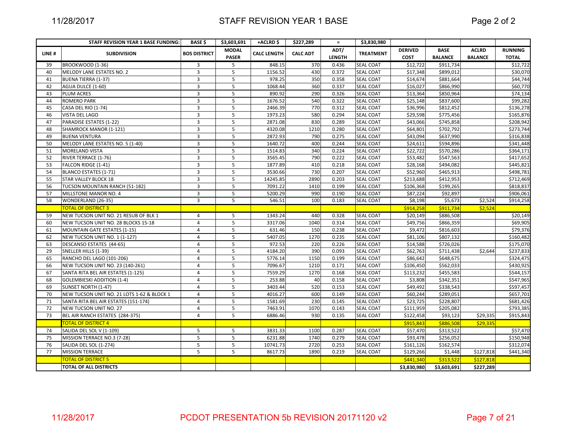|                                     | \$3,603,691                                                                                                                                   | +ACLRD \$                            | \$227,289                                            | $\equiv$               | \$3,830,980      |                                                          |                                                                                          |                                                  |                        |
|-------------------------------------|-----------------------------------------------------------------------------------------------------------------------------------------------|--------------------------------------|------------------------------------------------------|------------------------|------------------|----------------------------------------------------------|------------------------------------------------------------------------------------------|--------------------------------------------------|------------------------|
|                                     | <b>MODAL</b>                                                                                                                                  |                                      |                                                      | ADT/                   |                  | <b>DERIVED</b>                                           | <b>BASE</b>                                                                              | <b>ACLRD</b>                                     | <b>RUNNING</b>         |
|                                     | <b>PASER</b>                                                                                                                                  |                                      |                                                      | <b>LENGTH</b>          |                  | <b>COST</b>                                              | <b>BALANCE</b>                                                                           | <b>BALANCE</b>                                   | <b>TOTAL</b>           |
| 3                                   | 5                                                                                                                                             | 848.15                               | 370                                                  | 0.436                  | SEAL COAT        | \$12,722                                                 | \$911,734                                                                                |                                                  | \$12,722               |
| 3                                   | 5                                                                                                                                             | 1156.52                              | 430                                                  | 0.372                  | <b>SEAL COAT</b> | \$17,348                                                 | \$899,012                                                                                |                                                  | \$30,070               |
| $\overline{3}$                      | 5                                                                                                                                             | 978.25                               | 350                                                  | 0.358                  | <b>SEAL COAT</b> | \$14,674                                                 | \$881,664                                                                                |                                                  | \$44,744               |
| $\overline{3}$                      | 5                                                                                                                                             | 1068.44                              | 360                                                  | 0.337                  | SEAL COAT        | \$16,027                                                 | \$866,990                                                                                |                                                  | \$60,770               |
| 3                                   |                                                                                                                                               | 890.92                               | 290                                                  | 0.326                  | <b>SEAL COAT</b> | \$13,364                                                 | \$850,964                                                                                |                                                  | \$74,134               |
| 3                                   | 5                                                                                                                                             | 1676.52                              | 540                                                  | 0.322                  | <b>SEAL COAT</b> | \$25,148                                                 | \$837,600                                                                                |                                                  | \$99,282               |
| 3                                   | 5                                                                                                                                             | 2466.39                              | 770                                                  | 0.312                  | SEAL COAT        |                                                          | \$812,452                                                                                |                                                  | \$136,278              |
|                                     |                                                                                                                                               | 1973.23                              | 580                                                  | 0.294                  | SEAL COAT        | \$29,598                                                 | \$775,456                                                                                |                                                  | \$165,876              |
| 3                                   | 5                                                                                                                                             | 2871.08                              | 830                                                  | 0.289                  |                  | \$43,066                                                 | \$745,858                                                                                |                                                  | \$208,942              |
| 3                                   |                                                                                                                                               | 4320.08                              | 1210                                                 | 0.280                  | <b>SEAL COAT</b> | \$64,801                                                 |                                                                                          |                                                  | $\overline{$}273,744$  |
|                                     |                                                                                                                                               | 2872.93                              | 790                                                  | 0.275                  | <b>SEAL COAT</b> | \$43,094                                                 | \$637,990                                                                                |                                                  | \$316,838              |
|                                     |                                                                                                                                               |                                      | 400                                                  | 0.244                  | <b>SEAL COAT</b> | \$24,611                                                 | \$594,896                                                                                |                                                  | \$341,448              |
|                                     |                                                                                                                                               | 1514.83                              | 340                                                  | 0.224                  | <b>SEAL COAT</b> | \$22,722                                                 | \$570,286                                                                                |                                                  | \$364,171              |
|                                     | 5                                                                                                                                             | 3565.45                              |                                                      | 0.222                  |                  | \$53,482                                                 | \$547,563                                                                                |                                                  | \$417,652              |
|                                     |                                                                                                                                               |                                      | 410                                                  | 0.218                  | <b>SEAL COAT</b> |                                                          | \$494,082                                                                                |                                                  | \$445,821              |
|                                     |                                                                                                                                               | 3530.66                              | 730                                                  | 0.207                  | SEAL COAT        | \$52,960                                                 | \$465,913                                                                                |                                                  | \$498,781              |
| 3                                   | 5                                                                                                                                             | 14245.85                             | 2890                                                 | 0.203                  | <b>SEAL COAT</b> | \$213,688                                                | \$412,953                                                                                |                                                  | \$712,469              |
| 3                                   | 5                                                                                                                                             | 7091.22                              | 1410                                                 | 0.199                  | <b>SEAL COAT</b> | \$106,368                                                | \$199,265                                                                                |                                                  | \$818,837              |
| $\overline{3}$                      | 5                                                                                                                                             | 5200.29                              | 990                                                  | 0.190                  | <b>SEAL COAT</b> | \$87,224                                                 | \$92,897                                                                                 |                                                  | \$906,061              |
| 3                                   | 5                                                                                                                                             | 546.51                               | 100                                                  | 0.183                  | <b>SEAL COAT</b> | \$8,198                                                  | \$5,673                                                                                  | \$2,524                                          | \$914,258              |
|                                     |                                                                                                                                               |                                      |                                                      |                        |                  | \$914,258                                                | \$911,734                                                                                | \$2,524                                          |                        |
| $\overline{4}$                      | 5                                                                                                                                             | 1343.24                              | 440                                                  | 0.328                  | <b>SEAL COAT</b> | \$20,149                                                 | \$886,508                                                                                |                                                  | \$20,149               |
| $\overline{4}$                      | 5                                                                                                                                             | 3317.06                              | 1040                                                 | 0.314                  | SEAL COAT        | \$49,756                                                 | \$866,359                                                                                |                                                  | \$69,905               |
| 4                                   | 5                                                                                                                                             | 631.46                               | 150                                                  | 0.238                  | <b>SEAL COAT</b> | \$9,472                                                  | \$816,603                                                                                |                                                  | \$79,376               |
| $\overline{4}$                      | 5                                                                                                                                             | 5407.05                              | 1270                                                 | 0.235                  | <b>SEAL COAT</b> | \$81,106                                                 | \$807,132                                                                                |                                                  | \$160,482              |
| 4                                   | 5                                                                                                                                             | 972.53                               | 220                                                  | 0.226                  | <b>SEAL COAT</b> | \$14,588                                                 | \$726,026                                                                                |                                                  | \$175,070              |
| $\overline{4}$                      | 5                                                                                                                                             | 4184.20                              | 390                                                  | 0.093                  | SEAL COAT        | \$62,763                                                 | \$711,438                                                                                | \$2,644                                          | \$237,833              |
| $\overline{4}$                      | 5                                                                                                                                             | 5776.14                              | 1150                                                 | 0.199                  | <b>SEAL COAT</b> | \$86,642                                                 | \$648,675                                                                                |                                                  | \$324,475              |
| 4                                   | 5                                                                                                                                             | 7096.67                              | 1210                                                 | 0.171                  | <b>SEAL COAT</b> | \$106,450                                                | \$562,033                                                                                |                                                  | \$430,925              |
| $\overline{4}$                      | 5                                                                                                                                             | 7559.29                              | 1270                                                 | 0.168                  | <b>SEAL COAT</b> | \$113,232                                                | \$455,583                                                                                |                                                  | $\overline{$}544,157$  |
| 4                                   | 5                                                                                                                                             | 253.88                               | 40                                                   | 0.158                  | SEAL COAT        | \$3,808                                                  | \$342,351                                                                                |                                                  | \$547,965              |
| $\overline{4}$                      | 5                                                                                                                                             | 3403.44                              | 520                                                  | 0.153                  | SEAL COAT        | \$49,492                                                 | \$338,543                                                                                |                                                  | \$597,457              |
| $\overline{4}$                      | 5                                                                                                                                             | 4016.27                              | 600                                                  | 0.149                  | <b>SEAL COAT</b> | \$60,244                                                 | \$289,051                                                                                |                                                  | \$657,701              |
| 4                                   | 5                                                                                                                                             | 1581.69                              | 230                                                  | 0.145                  | <b>SEAL COAT</b> | \$23,725                                                 | \$228,807                                                                                |                                                  | \$681,426              |
| 4                                   | 5                                                                                                                                             | 7463.91                              | 1070                                                 | 0.143                  | <b>SEAL COAT</b> | \$111,959                                                | \$205,082                                                                                |                                                  | \$793,385              |
| $\overline{4}$                      | 5                                                                                                                                             | 6886.46                              | 930                                                  | 0.135                  | <b>SEAL COAT</b> | \$122,458                                                | \$93,123                                                                                 | \$29,335                                         | \$915,843              |
|                                     |                                                                                                                                               |                                      |                                                      |                        |                  | \$915,843                                                | \$886,508                                                                                | \$29,335                                         |                        |
| 5                                   | 5                                                                                                                                             | 3831.33                              | 1100                                                 | 0.287                  | <b>SEAL COAT</b> | \$57,470                                                 | \$313,522                                                                                |                                                  | \$57,470               |
| 5                                   | 5                                                                                                                                             | 6231.88                              | 1740                                                 | 0.279                  | <b>SEAL COAT</b> |                                                          | \$256,052                                                                                |                                                  | \$150,948              |
| 5                                   | 5                                                                                                                                             |                                      | 2720                                                 | 0.253                  | <b>SEAL COAT</b> | \$161,126                                                | \$162,574                                                                                |                                                  | \$312,074              |
| 5                                   | 5                                                                                                                                             | 8617.73                              | 1890                                                 | 0.219                  | <b>SEAL COAT</b> |                                                          |                                                                                          | \$127,818                                        | \$441,340              |
|                                     |                                                                                                                                               |                                      |                                                      |                        |                  |                                                          |                                                                                          |                                                  |                        |
|                                     |                                                                                                                                               |                                      |                                                      |                        |                  |                                                          |                                                                                          |                                                  |                        |
| NEW TUCSON UNIT NO. 28 BLOCKS 15-18 | <b>BOS DISTRICT</b><br>3<br>3<br>3<br>3<br>3<br>3<br>3<br>NEW TUCSON UNIT NO. 21 RESUB OF BLK 1<br>NEW TUCSON UNIT NO. 21 LOTS 1-62 & BLOCK 1 | 5<br>5<br>5<br>5<br>5<br>5<br>5<br>5 | <b>CALC LENGTH</b><br>1640.72<br>1877.89<br>10741.73 | <b>CALC ADT</b><br>790 |                  | <b>TREATMENT</b><br><b>SEAL COAT</b><br><b>SEAL COAT</b> | \$36,996<br>\$28,168<br>$\overline{$}$ \$93,478<br>\$129,266<br>\$441,340<br>\$3,830,980 | \$702,792<br>\$1,448<br>\$313,522<br>\$3,603,691 | \$127,818<br>\$227.289 |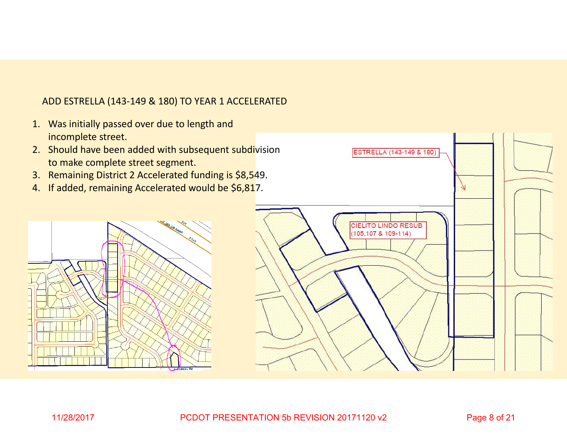## ADD ESTRELLA (143‐149 & 180) TO YEAR 1 ACCELERATED

- 1. Was initially passed over due to length and incomplete street.
- 2. Should have been added with subsequent subdivision to make complete street segment.
- 3. Remaining District 2 Accelerated funding is \$8,549.
- 4. If added, remaining Accelerated would be \$6,817.



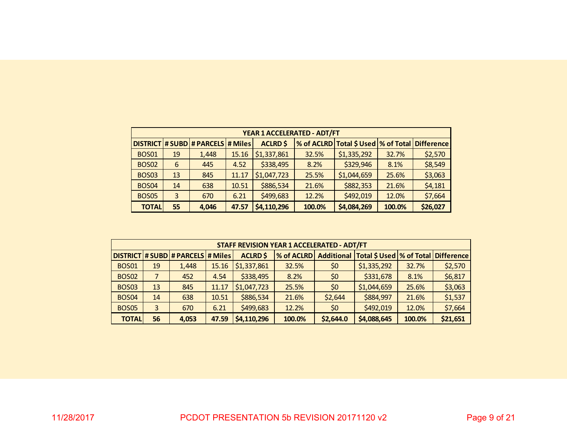|              |    |                                     |       | YEAR 1 ACCELERATED - ADT/FT |        |                                       |        |                   |
|--------------|----|-------------------------------------|-------|-----------------------------|--------|---------------------------------------|--------|-------------------|
|              |    | DISTRICT # SUBD # PARCELS   # Miles |       | <b>ACLRD \$</b>             |        | % of ACLRD Total \$ Used   % of Total |        | <b>Difference</b> |
| <b>BOS01</b> | 19 | 1,448                               | 15.16 | \$1,337,861                 | 32.5%  | \$1,335,292                           | 32.7%  | \$2,570           |
| <b>BOS02</b> | 6  | 445                                 | 4.52  | \$338,495                   | 8.2%   | \$329,946                             | 8.1%   | \$8,549           |
| <b>BOS03</b> | 13 | 845                                 | 11.17 | \$1,047,723                 | 25.5%  | \$1,044,659                           | 25.6%  | \$3,063           |
| <b>BOS04</b> | 14 | 638                                 | 10.51 | \$886,534                   | 21.6%  | \$882,353                             | 21.6%  | \$4,181           |
| <b>BOS05</b> | 3  | 670                                 | 6.21  | \$499,683                   | 12.2%  | \$492,019                             | 12.0%  | \$7,664           |
| <b>TOTAL</b> | 55 | 4,046                               | 47.57 | \$4,110,296                 | 100.0% | \$4,084,269                           | 100.0% | \$26,027          |

|                                                                                                                 |                               |                                     |                     | <b>STAFF REVISION YEAR 1 ACCELERATED - ADT/FT</b> |             |         |                                                      |       |         |
|-----------------------------------------------------------------------------------------------------------------|-------------------------------|-------------------------------------|---------------------|---------------------------------------------------|-------------|---------|------------------------------------------------------|-------|---------|
|                                                                                                                 |                               | DISTRICT # SUBD # PARCELS   # Miles |                     | <b>ACLRD \$</b>                                   | % of ACLRD  |         | Additional   Total \$ Used   % of Total   Difference |       |         |
| <b>BOS01</b>                                                                                                    | 19                            | 1,448                               | 51,337,861<br>15.16 | \$0                                               | \$1,335,292 | 32.7%   | \$2,570                                              |       |         |
| <b>BOS02</b>                                                                                                    | 7                             | 452                                 | 4.54                | \$0                                               | \$331,678   | 8.1%    | \$6,817                                              |       |         |
| <b>BOS03</b>                                                                                                    | 13                            | 845                                 | 11.17               | \$1,047,723                                       | 25.5%       | \$0     | \$1,044,659                                          | 25.6% | \$3,063 |
| <b>BOS04</b>                                                                                                    | 14                            | 638                                 | 10.51               | \$886,534                                         | 21.6%       | \$2,644 | \$884,997                                            | 21.6% | \$1,537 |
| <b>BOS05</b>                                                                                                    | \$499,683<br>6.21<br>3<br>670 |                                     |                     |                                                   |             | \$0     | \$492,019                                            | 12.0% | \$7,664 |
| \$21,651<br><b>TOTAL</b><br>\$2,644.0<br>\$4,088,645<br>56<br>\$4,110,296<br>100.0%<br>100.0%<br>47.59<br>4,053 |                               |                                     |                     |                                                   |             |         |                                                      |       |         |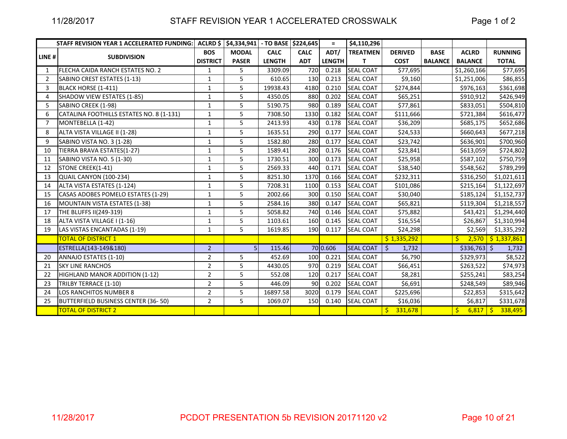|                | STAFF REVISION YEAR 1 ACCELERATED FUNDING: | <b>ACLRD</b> \$ | \$4,334,941 - TO BASE \$224,645 |               |             | $\equiv$      | \$4,110,296      |                  |                |                  |                      |
|----------------|--------------------------------------------|-----------------|---------------------------------|---------------|-------------|---------------|------------------|------------------|----------------|------------------|----------------------|
| LINE#          |                                            | <b>BOS</b>      | <b>MODAL</b>                    | <b>CALC</b>   | <b>CALC</b> | ADT/          | <b>TREATMEN</b>  | <b>DERIVED</b>   | <b>BASE</b>    | <b>ACLRD</b>     | <b>RUNNING</b>       |
|                | <b>SUBDIVISION</b>                         | <b>DISTRICT</b> | <b>PASER</b>                    | <b>LENGTH</b> | <b>ADT</b>  | <b>LENGTH</b> | т                | <b>COST</b>      | <b>BALANCE</b> | <b>BALANCE</b>   | <b>TOTAL</b>         |
| $\mathbf{1}$   | FLECHA CAIDA RANCH ESTATES NO. 2           | $\mathbf{1}$    | 5                               | 3309.09       | 720         | 0.218         | <b>SEAL COAT</b> | \$77,695         |                | \$1,260,166      | \$77,695             |
| $\overline{2}$ | SABINO CREST ESTATES (1-13)                | $\mathbf{1}$    | 5                               | 610.65        | 130         | 0.213         | <b>SEAL COAT</b> | \$9,160          |                | \$1,251,006      | \$86,855             |
| 3              | BLACK HORSE (1-411)                        | $\mathbf{1}$    | 5                               | 19938.43      | 4180        | 0.210         | <b>SEAL COAT</b> | \$274,844        |                | \$976,163        | \$361,698            |
| 4              | <b>SHADOW VIEW ESTATES (1-85)</b>          | $\mathbf 1$     | 5                               | 4350.05       | 880         | 0.202         | <b>SEAL COAT</b> | \$65,251         |                | \$910,912        | \$426,949            |
| 5              | SABINO CREEK (1-98)                        | $\mathbf{1}$    | 5                               | 5190.75       | 980         | 0.189         | <b>SEAL COAT</b> | \$77,861         |                | \$833,051        | \$504,810            |
| 6              | CATALINA FOOTHILLS ESTATES NO. 8 (1-131)   | $\mathbf{1}$    | 5                               | 7308.50       | 1330        | 0.182         | <b>SEAL COAT</b> | \$111,666        |                | \$721,384        | \$616,477            |
| $\overline{7}$ | MONTEBELLA (1-42)                          | $\mathbf{1}$    | 5                               | 2413.93       | 430         | 0.178         | <b>SEAL COAT</b> | \$36,209         |                | \$685,175        | \$652,686            |
| 8              | ALTA VISTA VILLAGE II (1-28)               | $\mathbf{1}$    | 5                               | 1635.51       | 290         | 0.177         | <b>SEAL COAT</b> | \$24,533         |                | \$660,643        | \$677,218            |
| 9              | SABINO VISTA NO. 3 (1-28)                  | $\mathbf 1$     | 5                               | 1582.80       | 280         | 0.177         | <b>SEAL COAT</b> | \$23,742         |                | \$636,901        | \$700,960            |
| 10             | TIERRA BRAVA ESTATES(1-27)                 | $\mathbf{1}$    | 5                               | 1589.41       | 280         | 0.176         | <b>SEAL COAT</b> | \$23,841         |                | \$613,059        | \$724,802            |
| 11             | SABINO VISTA NO. 5 (1-30)                  | $\mathbf{1}$    | 5                               | 1730.51       | 300         | 0.173         | <b>SEAL COAT</b> | \$25,958         |                | \$587,102        | \$750,759            |
| 12             | STONE CREEK(1-41)                          | $\mathbf 1$     | 5                               | 2569.33       | 440         | 0.171         | <b>SEAL COAT</b> | \$38,540         |                | \$548,562        | \$789,299            |
| 13             | QUAIL CANYON (100-234)                     | $\mathbf 1$     | 5                               | 8251.30       | 1370        | 0.166         | <b>SEAL COAT</b> | \$232,311        |                | \$316,250        | \$1,021,611          |
| 14             | ALTA VISTA ESTATES (1-124)                 | $\mathbf 1$     | 5                               | 7208.31       | 1100        | 0.153         | <b>SEAL COAT</b> | \$101,086        |                | \$215,164        | \$1,122,697          |
| 15             | CASAS ADOBES POMELO ESTATES (1-29)         | $\mathbf{1}$    | 5                               | 2002.66       | 300         | 0.150         | <b>SEAL COAT</b> | \$30,040         |                | \$185,124        | \$1,152,737          |
| 16             | MOUNTAIN VISTA ESTATES (1-38)              | $\mathbf{1}$    | 5                               | 2584.16       | 380         | 0.147         | <b>SEAL COAT</b> | \$65,821         |                | \$119,304        | \$1,218,557          |
| 17             | THE BLUFFS II(249-319)                     | $\mathbf 1$     | 5                               | 5058.82       | 740         | 0.146         | <b>SEAL COAT</b> | \$75,882         |                | \$43,421         | \$1,294,440          |
| 18             | ALTA VISTA VILLAGE I (1-16)                | $\mathbf{1}$    | 5                               | 1103.61       | 160         | 0.145         | <b>SEAL COAT</b> | \$16,554         |                | \$26,867         | \$1,310,994          |
| 19             | LAS VISTAS ENCANTADAS (1-19)               | $\mathbf 1$     | 5                               | 1619.85       | 190         | 0.117         | <b>SEAL COAT</b> | \$24,298         |                | \$2,569          | \$1,335,292          |
|                | <b>TOTAL OF DISTRICT 1</b>                 |                 |                                 |               |             |               |                  | \$1,335,292      |                | \$               | $2,570$ \$ 1,337,861 |
|                | ESTRELLA(143-149&180)                      | $\overline{2}$  | 5 <sub>1</sub>                  | 115.46        |             | 70 0.606      | <b>SEAL COAT</b> | $\zeta$<br>1,732 |                | \$336,763        | 1,732                |
| 20             | ANNAJO ESTATES (1-10)                      | $\overline{2}$  | 5                               | 452.69        | 100         | 0.221         | <b>SEAL COAT</b> | \$6,790          |                | \$329,973        | \$8,522              |
| 21             | <b>SKY LINE RANCHOS</b>                    | $\overline{2}$  | 5                               | 4430.05       | 970         | 0.219         | <b>SEAL COAT</b> | \$66,451         |                | \$263,522        | \$74,973             |
| 22             | HIGHLAND MANOR ADDITION (1-12)             | $\mathbf 2$     | 5                               | 552.08        | 120         | 0.217         | <b>SEAL COAT</b> | \$8,281          |                | \$255,241        | \$83,254             |
| 23             | TRILBY TERRACE (1-10)                      | $\mathbf 2$     | 5                               | 446.09        | 90          | 0.202         | <b>SEAL COAT</b> | \$6,691          |                | \$248,549        | \$89,946             |
| 24             | LOS RANCHITOS NUMBER 8                     | $\overline{2}$  | 5                               | 16897.58      | 3020        | 0.179         | <b>SEAL COAT</b> | \$225,696        |                | \$22,853         | \$315,642            |
| 25             | BUTTERFIELD BUSINESS CENTER (36-50)        | $\overline{2}$  | 5                               | 1069.07       | 150         | 0.140         | <b>SEAL COAT</b> | \$16,036         |                | \$6,817          | \$331,678            |
|                | <b>TOTAL OF DISTRICT 2</b>                 |                 |                                 |               |             |               |                  | 331,678<br>Ŝ.    |                | \$<br>$6,817$ \$ | 338,495              |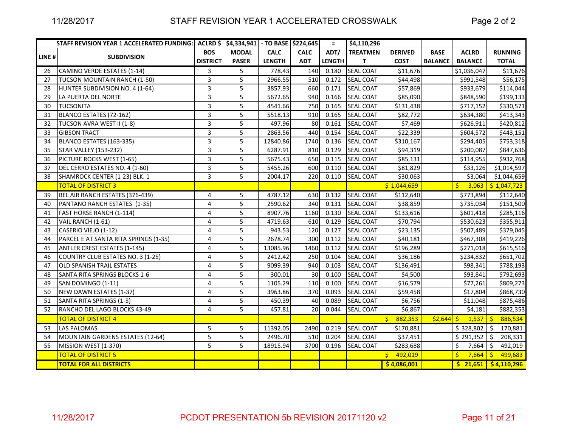|        | STAFF REVISION YEAR 1 ACCELERATED FUNDING: ACLRD \$ \$4,334,941 - TO BASE \$224,645 |                 |              |               |             | $\equiv$      | \$4,110,296      |                  |                   |                       |                |
|--------|-------------------------------------------------------------------------------------|-----------------|--------------|---------------|-------------|---------------|------------------|------------------|-------------------|-----------------------|----------------|
| LINE # | <b>SUBDIVISION</b>                                                                  | <b>BOS</b>      | <b>MODAL</b> | <b>CALC</b>   | <b>CALC</b> | ADT/          | <b>TREATMEN</b>  | <b>DERIVED</b>   | <b>BASE</b>       | <b>ACLRD</b>          | <b>RUNNING</b> |
|        |                                                                                     | <b>DISTRICT</b> | <b>PASER</b> | <b>LENGTH</b> | <b>ADT</b>  | <b>LENGTH</b> | T                | <b>COST</b>      | <b>BALANCE</b>    | <b>BALANCE</b>        | <b>TOTAL</b>   |
| 26     | CAMINO VERDE ESTATES (1-14)                                                         | 3               | 5            | 778.43        | 140         | 0.180         | <b>SEAL COAT</b> | $\sqrt{511,676}$ |                   | \$1,036,047           | \$11,676       |
| 27     | TUCSON MOUNTAIN RANCH (1-50)                                                        | 3               | 5            | 2966.55       | 510         | 0.172         | <b>SEAL COAT</b> | \$44,498         |                   | \$991,548             | \$56,175       |
| 28     | HUNTER SUBDIVISION NO. 4 (1-64)                                                     | 3               | 5            | 3857.93       | 660         | 0.171         | <b>SEAL COAT</b> | \$57,869         |                   | \$933,679             | \$114,044      |
| 29     | LA PUERTA DEL NORTE                                                                 | 3               | 5            | 5672.65       | 940         | 0.166         | <b>SEAL COAT</b> | \$85,090         |                   | \$848,590             | \$199,133      |
| 30     | <b>TUCSONITA</b>                                                                    | 3               | 5            | 4541.66       | 750         | 0.165         | <b>SEAL COAT</b> | \$131,438        |                   | \$717,152             | \$330,571      |
| 31     | BLANCO ESTATES (72-162)                                                             | 3               | 5            | 5518.13       | 910         | 0.165         | <b>SEAL COAT</b> | \$82,772         |                   | \$634,380             | \$413,343      |
| 32     | TUCSON AVRA WEST II (1-8)                                                           | 3               | 5            | 497.96        | 80          | 0.161         | <b>SEAL COAT</b> | \$7,469          |                   | \$626,911             | \$420,812      |
| 33     | <b>GIBSON TRACT</b>                                                                 | 3               | 5            | 2863.56       | 440         | 0.154         | <b>SEAL COAT</b> | \$22,339         |                   | \$604,572             | \$443,151      |
| 34     | BLANCO ESTATES (163-335)                                                            | 3               | 5            | 12840.86      | 1740        | 0.136         | <b>SEAL COAT</b> | \$310,167        |                   | \$294,405             | \$753,318      |
| 35     | <b>STAR VALLEY (153-232)</b>                                                        | 3               | 5            | 6287.91       | 810         | 0.129         | <b>SEAL COAT</b> | \$94,319         |                   | \$200,087             | \$847,636      |
| 36     | PICTURE ROCKS WEST (1-65)                                                           | 3               | 5            | 5675.43       | 650         | 0.115         | <b>SEAL COAT</b> | \$85,131         |                   | \$114,955             | \$932,768      |
| 37     | DEL CERRO ESTATES NO. 4 (1-60)                                                      | 3               | 5            | 5455.26       | 600         | 0.110         | <b>SEAL COAT</b> | \$81,829         |                   | \$33,126              | \$1,014,597    |
| 38     | SHAMROCK CENTER (1-23) BLK. 1                                                       | 3               | 5            | 2004.17       | 220         | 0.110         | <b>SEAL COAT</b> | \$30,063         |                   | \$3,064               | \$1,044,659    |
|        | <b>TOTAL OF DISTRICT 3</b>                                                          |                 |              |               |             |               |                  | \$1,044,659      |                   | Ŝ.<br>3,063           | \$1,047,723    |
| 39     | BEL AIR RANCH ESTATES (376-439)                                                     | 4               | 5            | 4787.12       | 630         | 0.132         | <b>SEAL COAT</b> | \$112,640        |                   | \$773,894             | \$112,640      |
| 40     | PANTANO RANCH ESTATES (1-35)                                                        | $\overline{4}$  | 5            | 2590.62       | 340         | 0.131         | <b>SEAL COAT</b> | \$38,859         |                   | \$735,034             | \$151,500      |
| 41     | FAST HORSE RANCH (1-114)                                                            | 4               | 5            | 8907.76       | 1160        | 0.130         | <b>SEAL COAT</b> | \$133,616        |                   | \$601,418             | \$285,116      |
| 42     | VAIL RANCH (1-61)                                                                   | 4               | 5            | 4719.63       | 610         | 0.129         | <b>SEAL COAT</b> | \$70,794         |                   | \$530,623             | \$355,911      |
| 43     | CASERIO VIEJO (1-12)                                                                | 4               | 5            | 943.53        | 120         | 0.127         | <b>SEAL COAT</b> | \$23,135         |                   | \$507,489             | \$379,045      |
| 44     | PARCEL E AT SANTA RITA SPRINGS (1-35)                                               | 4               | 5            | 2678.74       | 300         | 0.112         | <b>SEAL COAT</b> | \$40,181         |                   | \$467,308             | \$419,226      |
| 45     | <b>ANTLER CREST ESTATES (1-145)</b>                                                 | 4               | 5            | 13085.96      | 1460        | 0.112         | <b>SEAL COAT</b> | \$196,289        |                   | \$271,018             | \$615,516      |
| 46     | COUNTRY CLUB ESTATES NO. 3 (1-25)                                                   | 4               | 5            | 2412.42       | 250         | 0.104         | <b>SEAL COAT</b> | \$36,186         |                   | \$234,832             | \$651,702      |
| 47     | <b>OLD SPANISH TRAIL ESTATES</b>                                                    | 4               | 5            | 9099.39       | 940         | 0.103         | <b>SEAL COAT</b> | \$136,491        |                   | \$98,341              | \$788,193      |
| 48     | SANTA RITA SPRINGS BLOCKS 1-6                                                       | 4               | 5            | 300.01        | 30          | 0.100         | <b>SEAL COAT</b> | \$4,500          |                   | \$93,841              | \$792,693      |
| 49     | SAN DOMINGO (1-11)                                                                  | 4               | 5            | 1105.29       | 110         | 0.100         | <b>SEAL COAT</b> | \$16,579         |                   | \$77,261              | \$809,273      |
| 50     | NEW DAWN ESTATES (1-37)                                                             | 4               | 5            | 3963.86       | 370         | 0.093         | <b>SEAL COAT</b> | \$59,458         |                   | \$17,804              | \$868,730      |
| 51     | SANTA RITA SPRINGS (1-5)                                                            | 4               | 5            | 450.39        | 40          | 0.089         | <b>SEAL COAT</b> | \$6,756          |                   | \$11,048              | \$875,486      |
| 52     | RANCHO DEL LAGO BLOCKS 43-49                                                        | 4               | 5            | 457.81        | 20          | 0.044         | <b>SEAL COAT</b> | \$6,867          |                   | \$4,181               | \$882,353      |
|        | <b>TOTAL OF DISTRICT 4</b>                                                          |                 |              |               |             |               |                  | 882,353<br>S.    | $\frac{2,644}{5}$ | $1,537$ $\frac{1}{5}$ | 886,534        |
| 53     | <b>LAS PALOMAS</b>                                                                  | 5               | 5            | 11392.05      | 2490        | 0.219         | <b>SEAL COAT</b> | \$170,881        |                   | \$328,802             | \$<br>170,881  |
| 54     | MOUNTAIN GARDENS ESTATES (12-64)                                                    | 5               | 5            | 2496.70       | 510         | 0.204         | <b>SEAL COAT</b> | \$37,451         |                   | \$291,352             | Ŝ.<br>208,331  |
| 55     | MISSION WEST (1-370)                                                                | 5               | 5            | 18915.94      | 3700        | 0.196         | <b>SEAL COAT</b> | \$283,688        |                   | Ś.<br>7,664           | Ŝ.<br>492,019  |
|        | <b>TOTAL OF DISTRICT 5</b>                                                          |                 |              |               |             |               |                  | 492,019<br>S.    |                   | $\mathsf{S}$<br>7,664 | 499,683<br>Ŝ.  |
|        | <b>TOTAL FOR ALL DISTRICTS</b>                                                      |                 |              |               |             |               |                  | \$4,086,001      |                   | $\frac{1}{2}$ 21,651  | \$4,110,296    |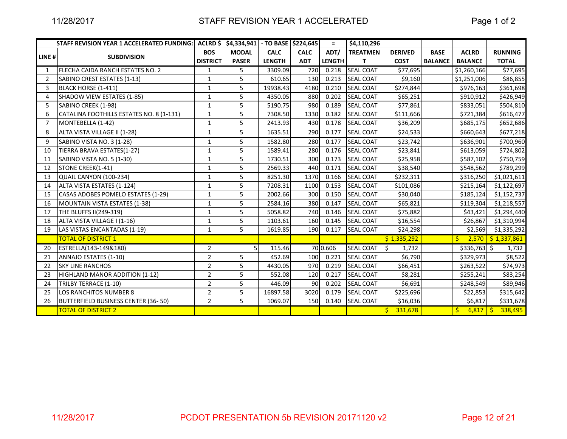|                | <b>STAFF REVISION YEAR 1 ACCELERATED FUNDING:</b> | <b>ACLRD</b> \$ | \$4,334,941  | - TO BASE     | \$224,645   | $=$           | \$4,110,296      |                |                |                |                      |
|----------------|---------------------------------------------------|-----------------|--------------|---------------|-------------|---------------|------------------|----------------|----------------|----------------|----------------------|
|                |                                                   | <b>BOS</b>      | <b>MODAL</b> | <b>CALC</b>   | <b>CALC</b> | ADT/          | <b>TREATMEN</b>  | <b>DERIVED</b> | <b>BASE</b>    | <b>ACLRD</b>   | <b>RUNNING</b>       |
| LINE#          | <b>SUBDIVISION</b>                                | <b>DISTRICT</b> | <b>PASER</b> | <b>LENGTH</b> | <b>ADT</b>  | <b>LENGTH</b> | т                | <b>COST</b>    | <b>BALANCE</b> | <b>BALANCE</b> | <b>TOTAL</b>         |
| 1              | FLECHA CAIDA RANCH ESTATES NO. 2                  | 1               | 5            | 3309.09       | 720         | 0.218         | <b>SEAL COAT</b> | \$77,695       |                | \$1,260,166    | \$77,695             |
| $\overline{2}$ | SABINO CREST ESTATES (1-13)                       | 1               | 5            | 610.65        | 130         | 0.213         | <b>SEAL COAT</b> | \$9,160        |                | \$1,251,006    | \$86,855             |
| 3              | BLACK HORSE (1-411)                               | $\mathbf 1$     | 5            | 19938.43      | 4180        | 0.210         | <b>SEAL COAT</b> | \$274,844      |                | \$976,163      | \$361,698            |
| 4              | SHADOW VIEW ESTATES (1-85)                        | $\mathbf 1$     | 5            | 4350.05       | 880         | 0.202         | <b>SEAL COAT</b> | \$65,251       |                | \$910,912      | \$426,949            |
| 5              | SABINO CREEK (1-98)                               | $\mathbf 1$     | 5            | 5190.75       | 980         | 0.189         | SEAL COAT        | \$77,861       |                | \$833,051      | \$504,810            |
| 6              | CATALINA FOOTHILLS ESTATES NO. 8 (1-131)          | $\mathbf{1}$    | 5            | 7308.50       | 1330        | 0.182         | <b>SEAL COAT</b> | \$111,666      |                | \$721,384      | \$616,477            |
| 7              | MONTEBELLA (1-42)                                 | $\mathbf 1$     | 5            | 2413.93       | 430         | 0.178         | <b>SEAL COAT</b> | \$36,209       |                | \$685,175      | \$652,686            |
| 8              | ALTA VISTA VILLAGE II (1-28)                      | $\mathbf 1$     | 5            | 1635.51       | 290         | 0.177         | <b>SEAL COAT</b> | \$24,533       |                | \$660,643      | \$677,218            |
| 9              | SABINO VISTA NO. 3 (1-28)                         | $\mathbf 1$     | 5            | 1582.80       | 280         | 0.177         | <b>SEAL COAT</b> | \$23,742       |                | \$636,901      | \$700,960            |
| 10             | TIERRA BRAVA ESTATES(1-27)                        | $\mathbf 1$     | 5            | 1589.41       | 280         | 0.176         | <b>SEAL COAT</b> | \$23,841       |                | \$613,059      | \$724,802            |
| 11             | SABINO VISTA NO. 5 (1-30)                         | $\mathbf{1}$    | 5            | 1730.51       | 300         | 0.173         | <b>SEAL COAT</b> | \$25,958       |                | \$587,102      | \$750,759            |
| 12             | STONE CREEK(1-41)                                 | $\mathbf 1$     | 5            | 2569.33       | 440         | 0.171         | <b>SEAL COAT</b> | \$38,540       |                | \$548,562      | \$789,299            |
| 13             | QUAIL CANYON (100-234)                            | $\mathbf 1$     | 5            | 8251.30       | 1370        | 0.166         | SEAL COAT        | \$232,311      |                | \$316,250      | \$1,021,611          |
| 14             | ALTA VISTA ESTATES (1-124)                        | 1               | 5            | 7208.31       | 1100        | 0.153         | <b>SEAL COAT</b> | \$101,086      |                | \$215,164      | \$1,122,697          |
| 15             | CASAS ADOBES POMELO ESTATES (1-29)                | 1               | 5            | 2002.66       | 300         | 0.150         | <b>SEAL COAT</b> | \$30,040       |                | \$185,124      | \$1,152,737          |
| 16             | MOUNTAIN VISTA ESTATES (1-38)                     | $\mathbf{1}$    | 5            | 2584.16       | 380         | 0.147         | <b>SEAL COAT</b> | \$65,821       |                | \$119,304      | \$1,218,557          |
| 17             | THE BLUFFS II(249-319)                            | $\mathbf 1$     | 5            | 5058.82       | 740         | 0.146         | <b>SEAL COAT</b> | \$75,882       |                | \$43,421       | \$1,294,440          |
| 18             | ALTA VISTA VILLAGE I (1-16)                       | 1               | 5            | 1103.61       | 160         | 0.145         | <b>SEAL COAT</b> | \$16,554       |                | \$26,867       | \$1,310,994          |
| 19             | LAS VISTAS ENCANTADAS (1-19)                      | $\mathbf{1}$    | 5            | 1619.85       | 190         | 0.117         | <b>SEAL COAT</b> | \$24,298       |                | \$2,569        | \$1,335,292          |
|                | <b>TOTAL OF DISTRICT 1</b>                        |                 |              |               |             |               |                  | \$1,335,292    |                | Ŝ.             | $2,570$ \$ 1,337,861 |
| 20             | ESTRELLA(143-149&180)                             | $\overline{2}$  | 5            | 115.46        |             | 70 0.606      | <b>SEAL COAT</b> | Ŝ.<br>1,732    |                | \$336,763      | 1,732                |
| 21             | ANNAJO ESTATES (1-10)                             | $\overline{2}$  | 5            | 452.69        | 100         | 0.221         | <b>SEAL COAT</b> | \$6,790        |                | \$329,973      | \$8,522              |
| 22             | <b>SKY LINE RANCHOS</b>                           | $\overline{2}$  | 5            | 4430.05       | 970         | 0.219         | <b>SEAL COAT</b> | \$66,451       |                | \$263,522      | \$74,973             |
| 23             | HIGHLAND MANOR ADDITION (1-12)                    | $\overline{2}$  | 5            | 552.08        | 120         | 0.217         | <b>SEAL COAT</b> | \$8,281        |                | \$255,241      | \$83,254             |
| 24             | TRILBY TERRACE (1-10)                             | $\overline{2}$  | 5            | 446.09        | 90          | 0.202         | <b>SEAL COAT</b> | \$6,691        |                | \$248,549      | \$89,946             |
| 25             | LOS RANCHITOS NUMBER 8                            | $\overline{2}$  | 5            | 16897.58      | 3020        | 0.179         | <b>SEAL COAT</b> | \$225,696      |                | \$22,853       | \$315,642            |
| 26             | <b>BUTTERFIELD BUSINESS CENTER (36-50)</b>        | $\overline{2}$  | 5            | 1069.07       | 150         | 0.140         | <b>SEAL COAT</b> | \$16,036       |                | \$6,817        | \$331,678            |
|                | <b>TOTAL OF DISTRICT 2</b>                        |                 |              |               |             |               |                  | 331,678<br>S.  |                | Ś<br>6,817     | 338,495<br>\$.       |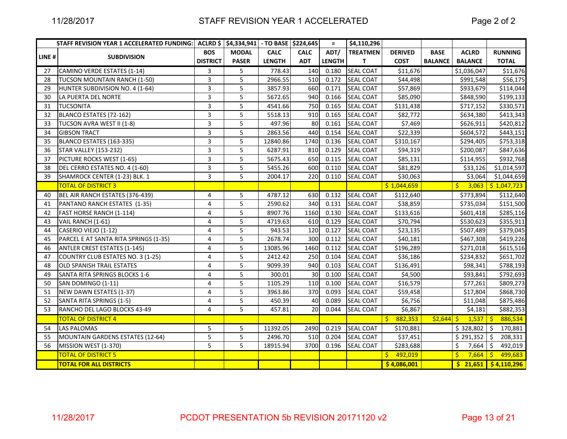|       | STAFF REVISION YEAR 1 ACCELERATED FUNDING: ACLRD \$ \$4,334,941 - TO BASE \$224,645 |                 |              |               |                 | $\equiv$      | \$4,110,296      |                |                |                |                                  |
|-------|-------------------------------------------------------------------------------------|-----------------|--------------|---------------|-----------------|---------------|------------------|----------------|----------------|----------------|----------------------------------|
| LINE# | <b>SUBDIVISION</b>                                                                  | <b>BOS</b>      | <b>MODAL</b> | <b>CALC</b>   | <b>CALC</b>     | ADT/          | <b>TREATMEN</b>  | <b>DERIVED</b> | <b>BASE</b>    | <b>ACLRD</b>   | <b>RUNNING</b>                   |
|       |                                                                                     | <b>DISTRICT</b> | <b>PASER</b> | <b>LENGTH</b> | <b>ADT</b>      | <b>LENGTH</b> | T                | <b>COST</b>    | <b>BALANCE</b> | <b>BALANCE</b> | <b>TOTAL</b>                     |
| 27    | CAMINO VERDE ESTATES (1-14)                                                         | 3               | 5            | 778.43        | 140             | 0.180         | <b>SEAL COAT</b> | \$11,676       |                | \$1,036,047    | \$11,676                         |
| 28    | TUCSON MOUNTAIN RANCH (1-50)                                                        | 3               | 5            | 2966.55       | 510             | 0.172         | <b>SEAL COAT</b> | \$44,498       |                | \$991,548      | \$56,175                         |
| 29    | HUNTER SUBDIVISION NO. 4 (1-64)                                                     | 3               | 5            | 3857.93       | 660             | 0.171         | <b>SEAL COAT</b> | \$57,869       |                | \$933,679      | \$114,044                        |
| 30    | LA PUERTA DEL NORTE                                                                 | 3               | 5            | 5672.65       | 940             | 0.166         | <b>SEAL COAT</b> | \$85,090       |                | \$848,590      | \$199,133                        |
| 31    | <b>TUCSONITA</b>                                                                    | 3               | 5            | 4541.66       | 750             | 0.165         | <b>SEAL COAT</b> | \$131,438      |                | \$717,152      | \$330,571                        |
| 32    | BLANCO ESTATES (72-162)                                                             | 3               | 5            | 5518.13       | 910             | 0.165         | <b>SEAL COAT</b> | \$82,772       |                | \$634,380      | \$413,343                        |
| 33    | TUCSON AVRA WEST II (1-8)                                                           | $\overline{3}$  | 5            | 497.96        | 80              | 0.161         | <b>SEAL COAT</b> | \$7,469        |                | \$626,911      | \$420,812                        |
| 34    | <b>GIBSON TRACT</b>                                                                 | 3               | 5            | 2863.56       | 440             | 0.154         | <b>SEAL COAT</b> | \$22,339       |                | \$604,572      | \$443,151                        |
| 35    | BLANCO ESTATES (163-335)                                                            | 3               | 5            | 12840.86      | 1740            | 0.136         | <b>SEAL COAT</b> | \$310,167      |                | \$294,405      | \$753,318                        |
| 36    | <b>STAR VALLEY (153-232)</b>                                                        | 3               | 5            | 6287.91       | 810             | 0.129         | <b>SEAL COAT</b> | \$94,319       |                | \$200,087      | \$847,636                        |
| 37    | PICTURE ROCKS WEST (1-65)                                                           | 3               | 5            | 5675.43       | 650             | 0.115         | <b>SEAL COAT</b> | \$85,131       |                | \$114,955      | \$932,768                        |
| 38    | DEL CERRO ESTATES NO. 4 (1-60)                                                      | 3               | 5            | 5455.26       | 600             | 0.110         | <b>SEAL COAT</b> | \$81,829       |                | \$33,126       | \$1,014,597                      |
| 39    | SHAMROCK CENTER (1-23) BLK. 1                                                       | 3               | 5            | 2004.17       | 220             | 0.110         | <b>SEAL COAT</b> | \$30,063       |                | \$3,064        | \$1,044,659                      |
|       | <b>TOTAL OF DISTRICT 3</b>                                                          |                 |              |               |                 |               |                  | \$1,044,659    |                | 3,063<br>S.    | $\frac{1}{2}$ \$ 1,047,723       |
| 40    | BEL AIR RANCH ESTATES (376-439)                                                     | 4               | 5            | 4787.12       | 630             | 0.132         | <b>SEAL COAT</b> | \$112,640      |                | \$773,894      | \$112,640                        |
| 41    | PANTANO RANCH ESTATES (1-35)                                                        | $\overline{4}$  | 5            | 2590.62       | 340             | 0.131         | <b>SEAL COAT</b> | \$38,859       |                | \$735,034      | \$151,500                        |
| 42    | FAST HORSE RANCH (1-114)                                                            | 4               | 5            | 8907.76       | 1160            | 0.130         | <b>SEAL COAT</b> | \$133,616      |                | \$601,418      | \$285,116                        |
| 43    | VAIL RANCH (1-61)                                                                   | $\overline{4}$  | 5            | 4719.63       | 610             | 0.129         | <b>SEAL COAT</b> | \$70,794       |                | \$530,623      | \$355,911                        |
| 44    | CASERIO VIEJO (1-12)                                                                | $\overline{4}$  | 5            | 943.53        | 120             | 0.127         | <b>SEAL COAT</b> | \$23,135       |                | \$507,489      | \$379,045                        |
| 45    | PARCEL E AT SANTA RITA SPRINGS (1-35)                                               | $\overline{4}$  | 5            | 2678.74       | 300             | 0.112         | <b>SEAL COAT</b> | \$40,181       |                | \$467,308      | \$419,226                        |
| 46    | <b>ANTLER CREST ESTATES (1-145)</b>                                                 | 4               | 5            | 13085.96      | 1460            | 0.112         | <b>SEAL COAT</b> | \$196,289      |                | \$271,018      | \$615,516                        |
| 47    | COUNTRY CLUB ESTATES NO. 3 (1-25)                                                   | 4               | 5            | 2412.42       | 250             | 0.104         | <b>SEAL COAT</b> | \$36,186       |                | \$234,832      | \$651,702                        |
| 48    | <b>OLD SPANISH TRAIL ESTATES</b>                                                    | 4               | 5            | 9099.39       | 940             | 0.103         | <b>SEAL COAT</b> | \$136,491      |                | \$98,341       | \$788,193                        |
| 49    | SANTA RITA SPRINGS BLOCKS 1-6                                                       | 4               | 5            | 300.01        | 30 <sup>1</sup> | 0.100         | <b>SEAL COAT</b> | \$4,500        |                | \$93,841       | \$792,693                        |
| 50    | SAN DOMINGO (1-11)                                                                  | 4               | 5            | 1105.29       | 110             | 0.100         | <b>SEAL COAT</b> | \$16,579       |                | \$77,261       | \$809,273                        |
| 51    | NEW DAWN ESTATES (1-37)                                                             | 4               | 5            | 3963.86       | 370             | 0.093         | <b>SEAL COAT</b> | \$59,458       |                | \$17,804       | \$868,730                        |
| 52    | SANTA RITA SPRINGS (1-5)                                                            | 4               | 5            | 450.39        | 40              | 0.089         | <b>SEAL COAT</b> | \$6,756        |                | \$11,048       | \$875,486                        |
| 53    | RANCHO DEL LAGO BLOCKS 43-49                                                        | 4               | 5            | 457.81        | 20              | 0.044         | <b>SEAL COAT</b> | \$6,867        |                | \$4,181        | \$882,353                        |
|       | <b>TOTAL OF DISTRICT 4</b>                                                          |                 |              |               |                 |               |                  | Ŝ.<br>882,353  | $52,644$ \$    | $1,537$ \$     | 886,534                          |
| 54    | <b>LAS PALOMAS</b>                                                                  | 5               | 5            | 11392.05      | 2490            | 0.219         | <b>SEAL COAT</b> | \$170,881      |                | \$328,802      | \$<br>170,881                    |
| 55    | MOUNTAIN GARDENS ESTATES (12-64)                                                    | 5               | 5            | 2496.70       | 510             | 0.204         | <b>SEAL COAT</b> | \$37,451       |                | \$291,352      | Ŝ.<br>208,331                    |
| 56    | MISSION WEST (1-370)                                                                | 5               | 5            | 18915.94      | 3700            | 0.196         | <b>SEAL COAT</b> | \$283,688      |                | Ś.<br>7,664    | \$<br>492,019                    |
|       | <b>TOTAL OF DISTRICT 5</b>                                                          |                 |              |               |                 |               |                  | 492,019<br>S.  |                | Ŝ.             | $7,664$ \$ 499,683               |
|       | <b>TOTAL FOR ALL DISTRICTS</b>                                                      |                 |              |               |                 |               |                  | \$4,086,001    |                |                | $\frac{1}{2}$ 21,651 \$4,110,296 |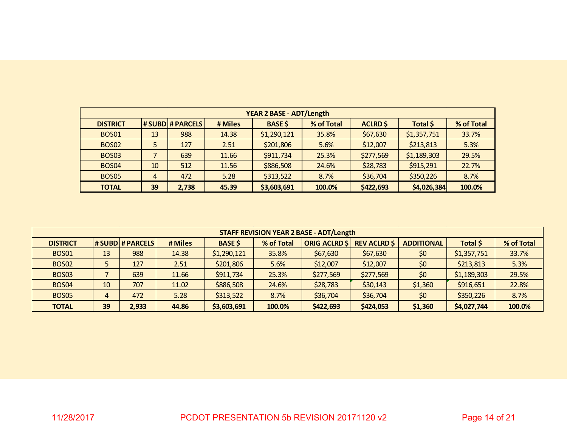|                   |    |                       |         | <b>YEAR 2 BASE - ADT/Length</b> |            |                 |             |            |
|-------------------|----|-----------------------|---------|---------------------------------|------------|-----------------|-------------|------------|
| <b>DISTRICT</b>   |    | <b>#SUBD #PARCELS</b> | # Miles | <b>BASE \$</b>                  | % of Total | <b>ACLRD \$</b> | Total \$    | % of Total |
| <b>BOS01</b>      | 13 | 988                   | 14.38   | \$1,290,121                     | 35.8%      | \$67,630        | \$1,357,751 | 33.7%      |
| <b>BOS02</b>      | 5  | 127                   | 2.51    | \$201,806                       | 5.6%       | \$12,007        | \$213,813   | 5.3%       |
| BOS <sub>03</sub> |    | 639                   | 11.66   | \$911,734                       | 25.3%      | \$277,569       | \$1,189,303 | 29.5%      |
| <b>BOS04</b>      | 10 | 512                   | 11.56   | \$886,508                       | 24.6%      | \$28,783        | \$915,291   | 22.7%      |
| <b>BOS05</b>      | 4  | 472                   | 5.28    | \$313,522                       | 8.7%       | \$36,704        | \$350,226   | 8.7%       |
| <b>TOTAL</b>      | 39 | 2.738                 | 45.39   | \$3,603,691                     | 100.0%     | \$422,693       | \$4,026,384 | 100.0%     |

|                 |                           |       |       |             |                      | <b>STAFF REVISION YEAR 2 BASE - ADT/Length</b> |                   |          |             |        |
|-----------------|---------------------------|-------|-------|-------------|----------------------|------------------------------------------------|-------------------|----------|-------------|--------|
| <b>DISTRICT</b> | <b>BASE \$</b><br># Miles |       |       | % of Total  | <b>ORIG ACLRD \$</b> | <b>REV ACLRD \$</b>                            | <b>ADDITIONAL</b> | Total \$ | % of Total  |        |
| <b>BOS01</b>    | 13                        | 988   | 14.38 | \$1,290,121 | 35.8%                | \$67,630                                       | \$67,630          | \$0      | \$1,357,751 | 33.7%  |
| <b>BOS02</b>    |                           | 127   | 2.51  | \$201,806   | 5.6%                 | \$12,007                                       | \$12,007          | \$0      | \$213,813   | 5.3%   |
| <b>BOS03</b>    |                           | 639   | 11.66 | \$911,734   | 25.3%                | \$277,569                                      | \$277,569         | \$0      | \$1,189,303 | 29.5%  |
| <b>BOS04</b>    | 10                        | 707   | 11.02 | \$886,508   | 24.6%                | \$28,783                                       | \$30,143          | \$1,360  | \$916,651   | 22.8%  |
| <b>BOS05</b>    | 4                         | 472   | 5.28  | \$313,522   | 8.7%                 | \$36,704                                       | \$36,704          | \$0      | \$350,226   | 8.7%   |
| <b>TOTAL</b>    | 39                        | 2,933 | 44.86 | \$3,603,691 | 100.0%               | \$422,693                                      | \$424,053         | \$1,360  | \$4,027,744 | 100.0% |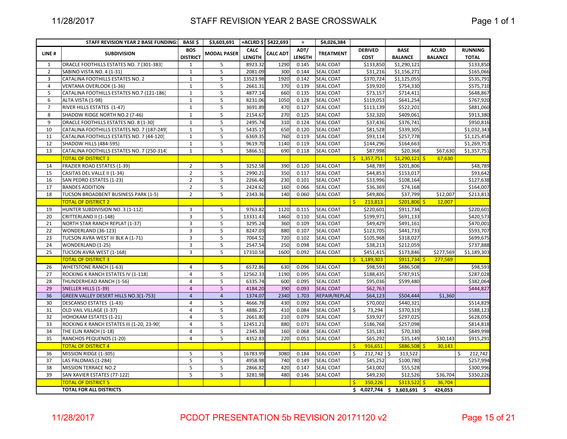## STAFF REVISION YEAR 2 BASE CROSSWALK

Page 1 of 1

|                | STAFF REVISION YEAR 2 BASE FUNDING:        | BASE \$         | \$3,603,691 +ACLRD \$ \$422,693 |               |                 | $\equiv$      | \$4,026,384      |                           |                 |                |                |
|----------------|--------------------------------------------|-----------------|---------------------------------|---------------|-----------------|---------------|------------------|---------------------------|-----------------|----------------|----------------|
| LINE#          | <b>SUBDIVISION</b>                         | <b>BOS</b>      | <b>MODAL PASER</b>              | <b>CALC</b>   | <b>CALC ADT</b> | ADT/          | <b>TREATMENT</b> | <b>DERIVED</b>            | <b>BASE</b>     | <b>ACLRD</b>   | <b>RUNNING</b> |
|                |                                            | <b>DISTRICT</b> |                                 | <b>LENGTH</b> |                 | <b>LENGTH</b> |                  | <b>COST</b>               | <b>BALANCE</b>  | <b>BALANCE</b> | <b>TOTAL</b>   |
| $\mathbf{1}$   | ORACLE FOOTHILLS ESTATES NO. 7 (301-383)   | $\mathbf{1}$    | 5                               | 8923.32       | 1290            | 0.145         | <b>SEAL COAT</b> | \$133,850                 | \$1,290,121     |                | \$133,850      |
| $\overline{2}$ | SABINO VISTA NO. 4 (1-31)                  | $\mathbf{1}$    | 5                               | 2081.09       | 300             | 0.144         | <b>SEAL COAT</b> | \$31,216                  | \$1,156,271     |                | \$165,066      |
| 3              | CATALINA FOOTHILLS ESTATES NO. 2           | $\mathbf{1}$    | 5                               | 13523.98      | 1920            | 0.142         | <b>SEAL COAT</b> | \$370,724                 | \$1,125,055     |                | \$535,791      |
| $\overline{4}$ | VENTANA OVERLOOK (1-36)                    | $\mathbf{1}$    | 5                               | 2661.31       | 370             | 0.139         | SEAL COAT        | \$39,920                  | \$754,330       |                | \$575,710      |
| 5              | CATALINA FOOTHILLS ESTATES NO.7 (121-186)  | $\mathbf{1}$    | 5                               | 4877.14       | 660             | 0.135         | <b>SEAL COAT</b> | \$73,157                  | \$714,411       |                | \$648,867      |
| 6              | ALTA VISTA (1-98)                          | 1               | 5                               | 8231.06       | 1050            | 0.128         | SEAL COAT        | \$119,053                 | \$641,254       |                | \$767,920      |
| $\overline{7}$ | RIVER HILLS ESTATES (1-47)                 | $\mathbf{1}$    | 5                               | 3691.89       | 470             | 0.127         | SEAL COAT        | \$113,139                 | \$522,201       |                | \$881,060      |
| 8              | SHADOW RIDGE NORTH NO.2 (7-46)             | $\mathbf{1}$    | 5                               | 2154.67       | 270             | 0.125         | SEAL COAT        | \$32,320                  | \$409,061       |                | \$913,380      |
| 9              | ORACLE FOOTHILLS ESTATES NO. 8 (1-30)      | $\mathbf{1}$    | 5                               | 2495.74       | 310             | 0.124         | <b>SEAL COAT</b> | \$37,436                  | \$376,741       |                | \$950,816      |
| 10             | CATALINA FOOTHILLS ESTATES NO. 7 (187-249) | $\mathbf{1}$    | 5                               | 5435.17       | 650             | 0.120         | <b>SEAL COAT</b> | \$81,528                  | \$339,305       |                | \$1,032,343    |
| 11             | CATALINA FOOTHILLS ESTATES NO. 7 (44-120)  | $\mathbf{1}$    | 5                               | 6369.35       | 760             | 0.119         | SEAL COAT        | \$93,114                  | \$257,778       |                | \$1,125,458    |
| 12             | SHADOW HILLS (484-595)                     | 1               | 5                               | 9619.70       | 1140            | 0.119         | SEAL COAT        | \$144,296                 | \$164,663       |                | \$1,269,753    |
| 13             | CATALINA FOOTHILLS ESTATES NO. 7 (250-314) | $\mathbf{1}$    | 5                               | 5866.51       | 690             | 0.118         | <b>SEAL COAT</b> | \$87,998                  | \$20,368        | \$67,630       | \$1,357,751    |
|                | <b>TOTAL OF DISTRICT 1</b>                 |                 |                                 |               |                 |               |                  | \$1,357,751               | $$1,290,121$ \$ | 67,630         |                |
| 14             | <b>FRAZIER ROAD ESTATES (1-39)</b>         | $\overline{2}$  | 5                               | 3252.58       | 390             | 0.120         | <b>SEAL COAT</b> | \$48,789                  | \$201,806       |                | \$48,789       |
| 15             | CASITAS DEL VALLE II (1-34)                | $\overline{2}$  | 5                               | 2990.21       | 350             | 0.117         | SEAL COAT        | \$44,853                  | \$153,017       |                | \$93,642       |
| 16             | SAN PEDRO ESTATES (1-23)                   | $\overline{2}$  | 5                               | 2266.40       | 230             | 0.101         | <b>SEAL COAT</b> | \$33,996                  | \$108,164       |                | \$127,638      |
| 17             | <b>BANDES ADDITION</b>                     | $\overline{2}$  | 5                               | 2424.62       | 160             | 0.066         | SEAL COAT        | \$36,369                  | \$74,168        |                | \$164,007      |
| 18             | TUCSON BROADBENT BUSINESS PARK (1-5)       | $\overline{2}$  | 5                               | 2343.36       | 140             | 0.060         | SEAL COAT        | \$49,806                  | \$37,799        | \$12,007       | \$213,813      |
|                | <b>TOTAL OF DISTRICT 2</b>                 |                 |                                 |               |                 |               |                  | Ŝ.<br>213,813             | $$201,806$ \$   | 12,007         |                |
| 19             | HUNTER SUBDIVISION NO. 3 (1-112)           | 3               | 5                               | 9763.82       | 1120            | 0.115         | <b>SEAL COAT</b> | \$220,601                 | \$911,734       |                | \$220,601      |
| 20             | CRITTERLAND II (1-148)                     | 3               | 5                               | 13331.43      | 1460            | 0.110         | SEAL COAT        | \$199,971                 | \$691,133       |                | \$420,573      |
| 21             | NORTH STAR RANCH REPLAT (1-37)             | 3               | 5                               | 3295.24       | 360             | 0.109         | SEAL COAT        | \$49,429                  | \$491,161       |                | \$470,001      |
| 22             | WONDERLAND (36-123)                        | 3               | 5                               | 8247.03       | 880             | 0.107         | <b>SEAL COAT</b> | \$123,705                 | \$441,733       |                | \$593,707      |
| 23             | TUCSON AVRA WEST III BLK A (1-71)          | 3               | 5                               | 7064.52       | 720             | 0.102         | <b>SEAL COAT</b> | \$105,968                 | \$318,027       |                | \$699,675      |
| 24             | WONDERLAND (1-25)                          | 3               | 5                               | 2547.54       | 250             | 0.098         | SEAL COAT        | \$38,213                  | \$212,059       |                | \$737,888      |
| 25             | TUCSON AVRA WEST (1-168)                   | 3               | 5                               | 17310.58      | 1600            | 0.092         | SEAL COAT        | \$451,415                 | \$173,846       | \$277,569      | \$1,189,303    |
|                | <b>TOTAL OF DISTRICT 3</b>                 |                 |                                 |               |                 |               |                  | \$1,189,303               | $$911,734$ \$   | 277,569        |                |
| 26             | <b>WHETSTONE RANCH (1-63)</b>              | 4               | 5                               | 6572.86       | 630             | 0.096         | <b>SEAL COAT</b> | \$98,593                  | \$886,508       |                | \$98,593       |
| 27             | ROCKING K RANCH ESTATES IV (1-118)         | 4               | 5                               | 12562.33      | 1190            | 0.095         | <b>SEAL COAT</b> | \$188,435                 | \$787,915       |                | \$287,028      |
| 28             | THUNDERHEAD RANCH (1-56)                   | 4               | 5                               | 6335.74       | 600             | 0.095         | <b>SEAL COAT</b> | \$95,036                  | \$599,480       |                | \$382,064      |
| 29             | SNELLER HILLS (1-39)                       | $\overline{4}$  | 5                               | 4184.20       | 390             | 0.093         | <b>SEAL COAT</b> | \$62,763                  |                 |                | \$444,827      |
| 36             | GREEN VALLEY DESERT HILLS NO.3(1-753)      | $\overline{4}$  | $\overline{4}$                  | 1374.07       | 2340            | 1.703         | REPAIR/REPLAC    | \$64,123                  | \$504,444       | \$1,360        |                |
| 30             | DESCANSO ESTATES (1-43)                    | 4               | 5                               | 4666.78       | 430             | 0.092         | <b>SEAL COAT</b> | \$70,002                  | \$440,321       |                | \$514,829      |
| 31             | OLD VAIL VILLAGE (1-37)                    | 4               | 5                               | 4886.27       | 410             | 0.084         | SEAL COAT        | \$<br>73,294              | \$370,319       |                | \$588,123      |
| 32             | HOHOKAM ESTATES (1-21)                     | 4               | 5                               | 2661.80       | 210             | 0.079         | SEAL COAT        | \$39,927                  | \$297,025       |                | \$628,050      |
| 33             | ROCKING K RANCH ESTATES III (1-20, 23-90)  | 4               | 5                               | 12451.21      | 880             | 0.071         | <b>SEAL COAT</b> | \$186,768                 | \$257,098       |                | \$814,818      |
| 34             | THE ELIN RANCH (1-18)                      | 4               | 5                               | 2345.38       | 160             | 0.068         | <b>SEAL COAT</b> | \$35,181                  | \$70,330        |                | \$849,998      |
| 35             | RANCHOS PEQUENOS (1-20)                    | 4               | 5                               | 4352.83       | 220             | 0.051         | <b>SEAL COAT</b> | \$65,292                  | \$35,149        | \$30,143       | \$915,291      |
|                | <b>TOTAL OF DISTRICT 4</b>                 |                 |                                 |               |                 |               |                  | 916,651<br>\$             | $$886,508$ \$   | 30,143         |                |
| 36             | MISSION RIDGE (1-305)                      | 5               | 5                               | 16783.99      | 3080            | 0.184         | <b>SEAL COAT</b> | $212,742$ \$<br>\$        | 313,522         |                | 212,742<br>\$  |
| 37             | LAS PALOMAS (1-284)                        | 5               | 5                               | 4958.98       | 740             | 0.149         | SEAL COAT        | \$45,252                  | \$100,780       |                | \$257,994      |
| 38             | <b>MISSION TERRACE NO.2</b>                | 5               | 5                               | 2866.82       | 420             | 0.147         | SEAL COAT        | \$43,002                  | \$55,528        |                | \$300,996      |
| 39             | SAN XAVIER ESTATES (77-122)                | 5               | 5                               | 3281.98       | 480             | 0.146         | <b>SEAL COAT</b> | \$49,230                  | \$12,526        | \$36,704       | \$350,226      |
|                | <b>TOTAL OF DISTRICT 5</b>                 |                 |                                 |               |                 |               |                  | 350,226<br>S.             | $$313,522$ \$   | 36,704         |                |
|                | <b>TOTAL FOR ALL DISTRICTS</b>             |                 |                                 |               |                 |               |                  | $$4,027,744 \t$3,603,691$ |                 | -\$<br>424,053 |                |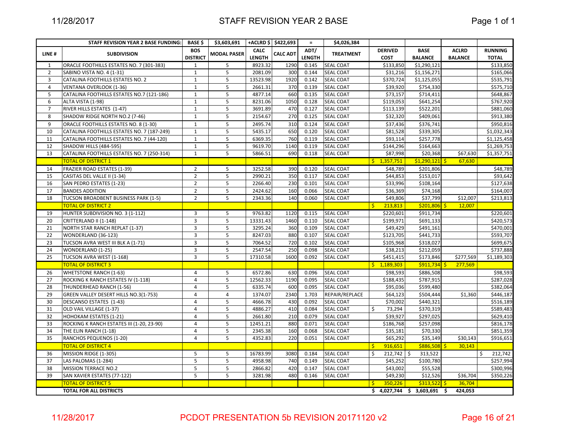| <b>CALC</b><br>ADT/<br><b>DERIVED</b><br><b>BASE</b><br><b>ACLRD</b><br><b>BOS</b><br><b>MODAL PASER</b><br><b>CALC ADT</b><br><b>TREATMENT</b><br>LINE#<br><b>SUBDIVISION</b><br><b>DISTRICT</b><br><b>LENGTH</b><br><b>LENGTH</b><br><b>COST</b><br><b>BALANCE</b><br><b>BALANCE</b><br><b>SEAL COAT</b><br>\$1,290,121<br>ORACLE FOOTHILLS ESTATES NO. 7 (301-383)<br>5<br>8923.32<br>1290<br>0.145<br>\$133,850<br>$\mathbf{1}$<br>$\mathbf{1}$<br>$\mathbf{1}$<br>5<br>$\overline{2}$<br>SABINO VISTA NO. 4 (1-31)<br>2081.09<br>300<br>0.144<br><b>SEAL COAT</b><br>\$31,216<br>\$1,156,271<br>$\mathbf{1}$<br>5<br>3<br>CATALINA FOOTHILLS ESTATES NO. 2<br>13523.98<br>1920<br>0.142<br><b>SEAL COAT</b><br>\$370,724<br>\$1,125,055<br>4<br><b>VENTANA OVERLOOK (1-36)</b><br>$\mathbf{1}$<br>5<br>2661.31<br>370<br>0.139<br><b>SEAL COAT</b><br>\$39,920<br>\$754,330<br>5<br>5<br>CATALINA FOOTHILLS ESTATES NO.7 (121-186)<br>$\mathbf{1}$<br>4877.14<br>660<br><b>SEAL COAT</b><br>\$73,157<br>\$714,411<br>0.135<br>$\mathbf{1}$<br>5<br>8231.06<br>1050<br>6<br>ALTA VISTA (1-98)<br>0.128<br><b>SEAL COAT</b><br>\$119,053<br>\$641,254 | <b>RUNNING</b><br><b>TOTAL</b><br>\$133,850<br>\$165,066<br>\$535,791<br>\$575,710<br>\$648,867<br>\$767,920<br>\$881,060<br>\$913,380<br>\$950,816<br>\$1,032,343 |
|----------------------------------------------------------------------------------------------------------------------------------------------------------------------------------------------------------------------------------------------------------------------------------------------------------------------------------------------------------------------------------------------------------------------------------------------------------------------------------------------------------------------------------------------------------------------------------------------------------------------------------------------------------------------------------------------------------------------------------------------------------------------------------------------------------------------------------------------------------------------------------------------------------------------------------------------------------------------------------------------------------------------------------------------------------------------------------------------------------------------------------------------------------|--------------------------------------------------------------------------------------------------------------------------------------------------------------------|
|                                                                                                                                                                                                                                                                                                                                                                                                                                                                                                                                                                                                                                                                                                                                                                                                                                                                                                                                                                                                                                                                                                                                                          |                                                                                                                                                                    |
|                                                                                                                                                                                                                                                                                                                                                                                                                                                                                                                                                                                                                                                                                                                                                                                                                                                                                                                                                                                                                                                                                                                                                          |                                                                                                                                                                    |
|                                                                                                                                                                                                                                                                                                                                                                                                                                                                                                                                                                                                                                                                                                                                                                                                                                                                                                                                                                                                                                                                                                                                                          |                                                                                                                                                                    |
|                                                                                                                                                                                                                                                                                                                                                                                                                                                                                                                                                                                                                                                                                                                                                                                                                                                                                                                                                                                                                                                                                                                                                          |                                                                                                                                                                    |
|                                                                                                                                                                                                                                                                                                                                                                                                                                                                                                                                                                                                                                                                                                                                                                                                                                                                                                                                                                                                                                                                                                                                                          |                                                                                                                                                                    |
|                                                                                                                                                                                                                                                                                                                                                                                                                                                                                                                                                                                                                                                                                                                                                                                                                                                                                                                                                                                                                                                                                                                                                          |                                                                                                                                                                    |
|                                                                                                                                                                                                                                                                                                                                                                                                                                                                                                                                                                                                                                                                                                                                                                                                                                                                                                                                                                                                                                                                                                                                                          |                                                                                                                                                                    |
|                                                                                                                                                                                                                                                                                                                                                                                                                                                                                                                                                                                                                                                                                                                                                                                                                                                                                                                                                                                                                                                                                                                                                          |                                                                                                                                                                    |
| 5<br>$\overline{7}$<br>$\mathbf{1}$<br>3691.89<br>470<br>\$522,201<br>RIVER HILLS ESTATES (1-47)<br>0.127<br><b>SEAL COAT</b><br>\$113,139                                                                                                                                                                                                                                                                                                                                                                                                                                                                                                                                                                                                                                                                                                                                                                                                                                                                                                                                                                                                               |                                                                                                                                                                    |
| 5<br>8<br>$\mathbf{1}$<br>270<br>SHADOW RIDGE NORTH NO.2 (7-46)<br>2154.67<br>0.125<br><b>SEAL COAT</b><br>\$32,320<br>\$409,061                                                                                                                                                                                                                                                                                                                                                                                                                                                                                                                                                                                                                                                                                                                                                                                                                                                                                                                                                                                                                         |                                                                                                                                                                    |
| \$376,741<br>9<br>ORACLE FOOTHILLS ESTATES NO. 8 (1-30)<br>$\mathbf{1}$<br>5<br>2495.74<br>310<br>0.124<br><b>SEAL COAT</b><br>\$37,436                                                                                                                                                                                                                                                                                                                                                                                                                                                                                                                                                                                                                                                                                                                                                                                                                                                                                                                                                                                                                  |                                                                                                                                                                    |
| 5<br>10<br>CATALINA FOOTHILLS ESTATES NO. 7 (187-249)<br>$\mathbf{1}$<br>5435.17<br>650<br>0.120<br><b>SEAL COAT</b><br>\$81,528<br>\$339,305                                                                                                                                                                                                                                                                                                                                                                                                                                                                                                                                                                                                                                                                                                                                                                                                                                                                                                                                                                                                            |                                                                                                                                                                    |
| 11<br>CATALINA FOOTHILLS ESTATES NO. 7 (44-120)<br>$\mathbf{1}$<br>5<br>6369.35<br>760<br>0.119<br><b>SEAL COAT</b><br>\$93,114<br>\$257,778                                                                                                                                                                                                                                                                                                                                                                                                                                                                                                                                                                                                                                                                                                                                                                                                                                                                                                                                                                                                             | \$1,125,458                                                                                                                                                        |
| $\mathbf{1}$<br>5<br>9619.70<br>1140<br>0.119<br><b>SEAL COAT</b><br>\$164,663<br>12<br>SHADOW HILLS (484-595)<br>\$144,296                                                                                                                                                                                                                                                                                                                                                                                                                                                                                                                                                                                                                                                                                                                                                                                                                                                                                                                                                                                                                              | \$1,269,753                                                                                                                                                        |
| 5<br>690<br>13<br>CATALINA FOOTHILLS ESTATES NO. 7 (250-314)<br>$\mathbf{1}$<br>5866.51<br>0.118<br><b>SEAL COAT</b><br>\$87,998<br>\$20,368                                                                                                                                                                                                                                                                                                                                                                                                                                                                                                                                                                                                                                                                                                                                                                                                                                                                                                                                                                                                             | \$67,630<br>\$1,357,751                                                                                                                                            |
| <b>TOTAL OF DISTRICT 1</b><br>$\frac{1}{2}$ , 1,357,751<br>$$1,290,121$ \$                                                                                                                                                                                                                                                                                                                                                                                                                                                                                                                                                                                                                                                                                                                                                                                                                                                                                                                                                                                                                                                                               | 67,630                                                                                                                                                             |
| 3252.58<br><b>SEAL COAT</b><br>14<br>FRAZIER ROAD ESTATES (1-39)<br>$\overline{2}$<br>5<br>390<br>0.120<br>\$48,789<br>\$201,806                                                                                                                                                                                                                                                                                                                                                                                                                                                                                                                                                                                                                                                                                                                                                                                                                                                                                                                                                                                                                         | \$48,789                                                                                                                                                           |
| $\overline{2}$<br>5<br>350<br><b>SEAL COAT</b><br>15<br>CASITAS DEL VALLE II (1-34)<br>2990.21<br>0.117<br>\$44,853<br>\$153,017                                                                                                                                                                                                                                                                                                                                                                                                                                                                                                                                                                                                                                                                                                                                                                                                                                                                                                                                                                                                                         | \$93,642                                                                                                                                                           |
| $\overline{2}$<br>16<br>SAN PEDRO ESTATES (1-23)<br>5<br>2266.40<br>230<br>0.101<br><b>SEAL COAT</b><br>\$33,996<br>\$108,164                                                                                                                                                                                                                                                                                                                                                                                                                                                                                                                                                                                                                                                                                                                                                                                                                                                                                                                                                                                                                            | \$127,638                                                                                                                                                          |
| $\overline{2}$<br>5<br>2424.62<br>160<br>0.066<br><b>SEAL COAT</b><br>\$74,168<br>17<br><b>BANDES ADDITION</b><br>\$36,369                                                                                                                                                                                                                                                                                                                                                                                                                                                                                                                                                                                                                                                                                                                                                                                                                                                                                                                                                                                                                               | \$164,007                                                                                                                                                          |
| $\overline{2}$<br>5<br>SEAL COAT<br>\$49,806<br>\$37,799<br>18<br>TUCSON BROADBENT BUSINESS PARK (1-5)<br>2343.36<br>140<br>0.060                                                                                                                                                                                                                                                                                                                                                                                                                                                                                                                                                                                                                                                                                                                                                                                                                                                                                                                                                                                                                        | \$12,007<br>\$213,813                                                                                                                                              |
| <b>TOTAL OF DISTRICT 2</b><br>$\mathsf{S}$<br>213,813<br>$$201,806$ \$                                                                                                                                                                                                                                                                                                                                                                                                                                                                                                                                                                                                                                                                                                                                                                                                                                                                                                                                                                                                                                                                                   | 12,007                                                                                                                                                             |
| HUNTER SUBDIVISION NO. 3 (1-112)<br>$\overline{3}$<br>5<br>9763.82<br>1120<br><b>SEAL COAT</b><br>\$220,601<br>\$911,734<br>19<br>0.115                                                                                                                                                                                                                                                                                                                                                                                                                                                                                                                                                                                                                                                                                                                                                                                                                                                                                                                                                                                                                  | \$220,601                                                                                                                                                          |
| 3<br>CRITTERLAND II (1-148)<br>5<br>13331.43<br>1460<br>0.110<br><b>SEAL COAT</b><br>\$199,971<br>\$691,133<br>20                                                                                                                                                                                                                                                                                                                                                                                                                                                                                                                                                                                                                                                                                                                                                                                                                                                                                                                                                                                                                                        | \$420,573                                                                                                                                                          |
| 5<br>$\overline{3}$<br>3295.24<br>21<br>NORTH STAR RANCH REPLAT (1-37)<br>360<br>0.109<br><b>SEAL COAT</b><br>\$49,429<br>\$491,161                                                                                                                                                                                                                                                                                                                                                                                                                                                                                                                                                                                                                                                                                                                                                                                                                                                                                                                                                                                                                      | \$470,001                                                                                                                                                          |
| 22<br>WONDERLAND (36-123)<br>3<br>5<br>8247.03<br>880<br><b>SEAL COAT</b><br>\$123,705<br>\$441,733<br>0.107                                                                                                                                                                                                                                                                                                                                                                                                                                                                                                                                                                                                                                                                                                                                                                                                                                                                                                                                                                                                                                             | \$593,707                                                                                                                                                          |
| $\overline{3}$<br>5<br>7064.52<br>720<br><b>SEAL COAT</b><br>\$318,027<br>23<br>TUCSON AVRA WEST III BLK A (1-71)<br>0.102<br>\$105,968                                                                                                                                                                                                                                                                                                                                                                                                                                                                                                                                                                                                                                                                                                                                                                                                                                                                                                                                                                                                                  | \$699,675                                                                                                                                                          |
| 24<br>$\overline{3}$<br>5<br>WONDERLAND (1-25)<br>2547.54<br>250<br>0.098<br><b>SEAL COAT</b><br>\$38,213<br>\$212,059                                                                                                                                                                                                                                                                                                                                                                                                                                                                                                                                                                                                                                                                                                                                                                                                                                                                                                                                                                                                                                   | \$737,888                                                                                                                                                          |
| $\overline{3}$<br>5<br>1600<br>25<br>TUCSON AVRA WEST (1-168)<br>17310.58<br>0.092<br><b>SEAL COAT</b><br>\$451,415<br>\$173,846                                                                                                                                                                                                                                                                                                                                                                                                                                                                                                                                                                                                                                                                                                                                                                                                                                                                                                                                                                                                                         | \$277,569<br>\$1,189,303                                                                                                                                           |
| <b>TOTAL OF DISTRICT 3</b><br>$\frac{1,189,303}{2}$<br>\$911,734                                                                                                                                                                                                                                                                                                                                                                                                                                                                                                                                                                                                                                                                                                                                                                                                                                                                                                                                                                                                                                                                                         | 277,569                                                                                                                                                            |
| \$98,593<br>\$886,508<br><b>WHETSTONE RANCH (1-63)</b><br>4<br>5<br>6572.86<br>630<br>0.096<br><b>SEAL COAT</b><br>26                                                                                                                                                                                                                                                                                                                                                                                                                                                                                                                                                                                                                                                                                                                                                                                                                                                                                                                                                                                                                                    | \$98,593                                                                                                                                                           |
| $\overline{4}$<br>5<br>1190<br>27<br>12562.33<br>0.095<br><b>SEAL COAT</b><br>\$188,435<br>\$787,915<br>ROCKING K RANCH ESTATES IV (1-118)                                                                                                                                                                                                                                                                                                                                                                                                                                                                                                                                                                                                                                                                                                                                                                                                                                                                                                                                                                                                               | \$287,028                                                                                                                                                          |
| 28<br>$\overline{4}$<br>5<br>6335.74<br>600<br><b>SEAL COAT</b><br>\$95,036<br>\$599,480<br>THUNDERHEAD RANCH (1-56)<br>0.095                                                                                                                                                                                                                                                                                                                                                                                                                                                                                                                                                                                                                                                                                                                                                                                                                                                                                                                                                                                                                            | \$382,064                                                                                                                                                          |
| $\overline{4}$<br>$\overline{4}$<br>1374.07<br>REPAIR/REPLACE<br>29<br>GREEN VALLEY DESERT HILLS NO.3(1-753)<br>2340<br>1.703<br>\$64,123<br>\$504,444                                                                                                                                                                                                                                                                                                                                                                                                                                                                                                                                                                                                                                                                                                                                                                                                                                                                                                                                                                                                   | \$1,360<br>\$446,187                                                                                                                                               |
| $\overline{4}$<br>30<br>DESCANSO ESTATES (1-43)<br>5<br>4666.78<br>430<br>0.092<br><b>SEAL COAT</b><br>\$70,002<br>\$440,321                                                                                                                                                                                                                                                                                                                                                                                                                                                                                                                                                                                                                                                                                                                                                                                                                                                                                                                                                                                                                             | \$516,189                                                                                                                                                          |
| $\overline{4}$<br>5<br>\$<br>31<br>OLD VAIL VILLAGE (1-37)<br>4886.27<br>410<br>0.084<br><b>SEAL COAT</b><br>73,294<br>\$370,319                                                                                                                                                                                                                                                                                                                                                                                                                                                                                                                                                                                                                                                                                                                                                                                                                                                                                                                                                                                                                         | \$589,483                                                                                                                                                          |
| 32<br>$\overline{4}$<br>5<br>2661.80<br>210<br>0.079<br><b>SEAL COAT</b><br>\$39,927<br>\$297,025<br>HOHOKAM ESTATES (1-21)                                                                                                                                                                                                                                                                                                                                                                                                                                                                                                                                                                                                                                                                                                                                                                                                                                                                                                                                                                                                                              | \$629,410                                                                                                                                                          |
| 5<br>33<br>4<br>12451.21<br>880<br>0.071<br><b>SEAL COAT</b><br>\$186,768<br>\$257,098<br>ROCKING K RANCH ESTATES III (1-20, 23-90)                                                                                                                                                                                                                                                                                                                                                                                                                                                                                                                                                                                                                                                                                                                                                                                                                                                                                                                                                                                                                      | \$816,178                                                                                                                                                          |
| 4<br>5<br>2345.38<br>160<br>\$70,330<br>34<br>THE ELIN RANCH (1-18)<br>0.068<br><b>SEAL COAT</b><br>\$35,181                                                                                                                                                                                                                                                                                                                                                                                                                                                                                                                                                                                                                                                                                                                                                                                                                                                                                                                                                                                                                                             | \$851,359                                                                                                                                                          |
| $\overline{4}$<br>5<br>220<br>35<br>RANCHOS PEQUENOS (1-20)<br>4352.83<br>0.051<br><b>SEAL COAT</b><br>\$65,292<br>\$35,149                                                                                                                                                                                                                                                                                                                                                                                                                                                                                                                                                                                                                                                                                                                                                                                                                                                                                                                                                                                                                              | \$30,143<br>\$916,651                                                                                                                                              |
| <b>TOTAL OF DISTRICT 4</b><br>916,651<br>\$886,508<br>\$                                                                                                                                                                                                                                                                                                                                                                                                                                                                                                                                                                                                                                                                                                                                                                                                                                                                                                                                                                                                                                                                                                 | 30,143                                                                                                                                                             |
| MISSION RIDGE (1-305)<br>5<br>16783.99<br>3080<br><b>SEAL COAT</b><br>\$<br>212,742<br>\$<br>313,522<br>36<br>5<br>0.184                                                                                                                                                                                                                                                                                                                                                                                                                                                                                                                                                                                                                                                                                                                                                                                                                                                                                                                                                                                                                                 | \$<br>212,742                                                                                                                                                      |
| 5<br>LAS PALOMAS (1-284)<br>5<br>4958.98<br>740<br><b>SEAL COAT</b><br>\$45,252<br>\$100,780<br>37<br>0.149                                                                                                                                                                                                                                                                                                                                                                                                                                                                                                                                                                                                                                                                                                                                                                                                                                                                                                                                                                                                                                              | \$257,994                                                                                                                                                          |
| 5<br>5<br>2866.82<br>420<br><b>SEAL COAT</b><br>\$43,002<br>\$55,528<br>38<br>MISSION TERRACE NO.2<br>0.147                                                                                                                                                                                                                                                                                                                                                                                                                                                                                                                                                                                                                                                                                                                                                                                                                                                                                                                                                                                                                                              | \$300,996                                                                                                                                                          |
| 5<br>5<br><b>SEAL COAT</b><br>\$12,526<br>39<br>SAN XAVIER ESTATES (77-122)<br>3281.98<br>480<br>0.146<br>\$49,230                                                                                                                                                                                                                                                                                                                                                                                                                                                                                                                                                                                                                                                                                                                                                                                                                                                                                                                                                                                                                                       | \$36,704<br>\$350,226                                                                                                                                              |
| <b>TOTAL OF DISTRICT 5</b><br>$\mathsf{S}$<br>350,226<br>$$313,522$ \$                                                                                                                                                                                                                                                                                                                                                                                                                                                                                                                                                                                                                                                                                                                                                                                                                                                                                                                                                                                                                                                                                   | 36,704                                                                                                                                                             |
| \$4,027,744 \$3,603,691<br><b>TOTAL FOR ALL DISTRICTS</b><br>S.                                                                                                                                                                                                                                                                                                                                                                                                                                                                                                                                                                                                                                                                                                                                                                                                                                                                                                                                                                                                                                                                                          | 424,053                                                                                                                                                            |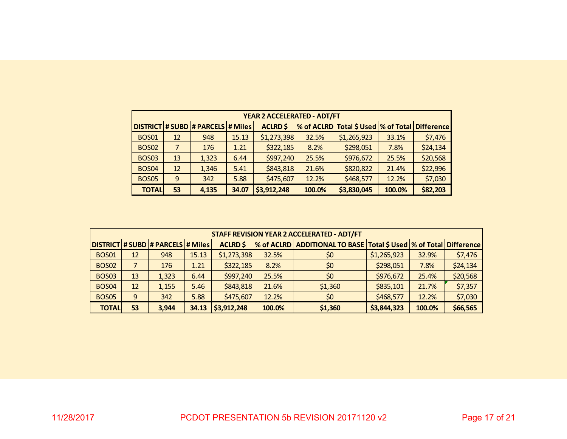|              | YEAR 2 ACCELERATED - ADT/FT |                                     |       |                 |        |                                      |        |                   |  |  |  |  |  |
|--------------|-----------------------------|-------------------------------------|-------|-----------------|--------|--------------------------------------|--------|-------------------|--|--|--|--|--|
|              |                             | DISTRICT # SUBD # PARCELS   # Miles |       | <b>ACLRD \$</b> |        | % of ACLRD Total \$ Used  % of Total |        | <b>Difference</b> |  |  |  |  |  |
| <b>BOS01</b> | 12                          | 948                                 | 15.13 | \$1,273,398     | 32.5%  | \$1,265,923                          | 33.1%  | \$7,476           |  |  |  |  |  |
| <b>BOS02</b> |                             | 176                                 | 1.21  | \$322,185       | 8.2%   | \$298,051                            | 7.8%   | \$24,134          |  |  |  |  |  |
| <b>BOS03</b> | 13                          | 1,323                               | 6.44  | \$997,240       | 25.5%  | \$976,672                            | 25.5%  | \$20,568          |  |  |  |  |  |
| <b>BOS04</b> | 12                          | 1,346                               | 5.41  | \$843,818       | 21.6%  | \$820,822                            | 21.4%  | \$22,996          |  |  |  |  |  |
| <b>BOS05</b> | 9                           | 342                                 | 5.88  | \$475,607       | 12.2%  | \$468,577                            | 12.2%  | \$7,030           |  |  |  |  |  |
| <b>TOTAL</b> | 53                          | 4,135                               | 34.07 | \$3,912,248     | 100.0% | \$3,830,045                          | 100.0% | \$82,203          |  |  |  |  |  |

|              |    |                                         |       |                 |        | <b>STAFF REVISION YEAR 2 ACCELERATED - ADT/FT</b>                        |             |        |          |
|--------------|----|-----------------------------------------|-------|-----------------|--------|--------------------------------------------------------------------------|-------------|--------|----------|
|              |    | DISTRICT   # SUBD   # PARCELS   # Miles |       | <b>ACLRD \$</b> |        | % of ACLRD  ADDITIONAL TO BASE   Total \$ Used   % of Total   Difference |             |        |          |
| <b>BOS01</b> | 12 | 948                                     | 15.13 | \$1,273,398     | 32.5%  | \$0                                                                      | \$1,265,923 | 32.9%  | \$7,476  |
| <b>BOS02</b> |    | 176                                     | 1.21  | \$322,185       | 8.2%   | \$0                                                                      | \$298,051   | 7.8%   | \$24,134 |
| <b>BOS03</b> | 13 | 1,323                                   | 6.44  | \$997,240       | 25.5%  | \$0                                                                      | \$976,672   | 25.4%  | \$20,568 |
| <b>BOS04</b> | 12 | 1,155                                   | 5.46  | \$843,818       | 21.6%  | \$1,360                                                                  | \$835,101   | 21.7%  | \$7,357  |
| <b>BOS05</b> | 9  | 342                                     | 5.88  | \$475,607       | 12.2%  | \$0                                                                      | \$468,577   | 12.2%  | \$7,030  |
| <b>TOTAL</b> | 53 | 3.944                                   | 34.13 | \$3,912,248     | 100.0% | \$1,360                                                                  | \$3,844,323 | 100.0% | \$66,565 |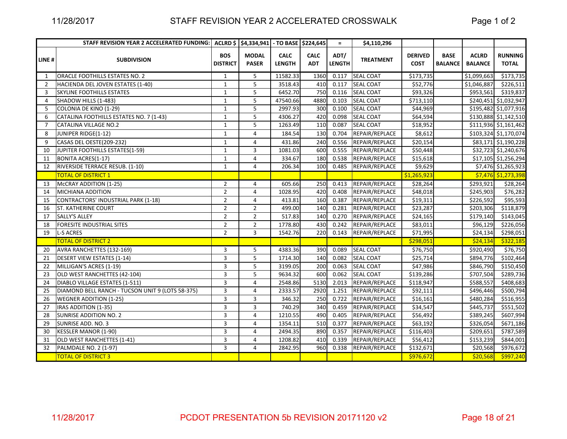#### STAFF REVISION YEAR 2 ACCELERATED CROSSWALK

Page 1 of 2

|                | STAFF REVISION YEAR 2 ACCELERATED FUNDING:       |                               | ACLRD \$ \$4,334,941 - TO BASE \$224,645 |                              |                           | $\equiv$              | \$4,110,296      |                               |                               |                                |                                |
|----------------|--------------------------------------------------|-------------------------------|------------------------------------------|------------------------------|---------------------------|-----------------------|------------------|-------------------------------|-------------------------------|--------------------------------|--------------------------------|
| LINE#          | <b>SUBDIVISION</b>                               | <b>BOS</b><br><b>DISTRICT</b> | <b>MODAL</b><br><b>PASER</b>             | <b>CALC</b><br><b>LENGTH</b> | <b>CALC</b><br><b>ADT</b> | ADT/<br><b>LENGTH</b> | <b>TREATMENT</b> | <b>DERIVED</b><br><b>COST</b> | <b>BASE</b><br><b>BALANCE</b> | <b>ACLRD</b><br><b>BALANCE</b> | <b>RUNNING</b><br><b>TOTAL</b> |
| 1              | ORACLE FOOTHILLS ESTATES NO. 2                   | $\mathbf{1}$                  | 5                                        | 11582.33                     | 1360                      | 0.117                 | <b>SEAL COAT</b> | \$173,735                     |                               | \$1,099,663                    | \$173,735                      |
| $\overline{2}$ | HACIENDA DEL JOVEN ESTATES (1-40)                | $\mathbf{1}$                  | 5                                        | 3518.43                      | 410                       | 0.117                 | <b>SEAL COAT</b> | \$52,776                      |                               | \$1,046,887                    | \$226,511                      |
| 3              | SKYLINE FOOTHILLS ESTATES                        | $\mathbf{1}$                  | 5                                        | 6452.70                      | 750                       | 0.116                 | <b>SEAL COAT</b> | \$93,326                      |                               | \$953,561                      | \$319,837                      |
| $\overline{4}$ | SHADOW HILLS (1-483)                             | $\mathbf{1}$                  | 5                                        | 47540.66                     | 4880                      | 0.103                 | <b>SEAL COAT</b> | \$713,110                     |                               |                                | \$240,451 \$1,032,947          |
| 5              | COLONIA DE KINO (1-29)                           | $\mathbf{1}$                  | 5                                        | 2997.93                      | 300                       | 0.100                 | <b>SEAL COAT</b> | \$44,969                      |                               |                                | \$195,482 \$1,077,916          |
| 6              | CATALINA FOOTHILLS ESTATES NO. 7 (1-43)          | $\mathbf{1}$                  | 5                                        | 4306.27                      | 420                       | 0.098                 | <b>SEAL COAT</b> | \$64,594                      |                               |                                | \$130,888 \$1,142,510          |
| 7              | <b>CATALINA VILLAGE NO.2</b>                     | $\mathbf{1}$                  | 5                                        | 1263.49                      | 110                       | 0.087                 | <b>SEAL COAT</b> | \$18,952                      |                               |                                | \$111,936 \$1,161,462          |
| 8              | JUNIPER RIDGE(1-12)                              | $\mathbf{1}$                  | 4                                        | 184.54                       | 130                       | 0.704                 | REPAIR/REPLACE   | \$8,612                       |                               |                                | \$103,324 \$1,170,074          |
| 9              | CASAS DEL OESTE(209-232)                         | $\mathbf{1}$                  | 4                                        | 431.86                       | 240                       | 0.556                 | REPAIR/REPLACE   | \$20,154                      |                               |                                | \$83,171 \$1,190,228           |
| 10             | JUPITER FOOTHILLS ESTATES(1-59)                  | $\mathbf{1}$                  | 3                                        | 1081.03                      | 600                       | 0.555                 | REPAIR/REPLACE   | \$50,448                      |                               |                                | \$32,723 \$1,240,676           |
| 11             | <b>BONITA ACRES(1-17)</b>                        | $\mathbf{1}$                  | 4                                        | 334.67                       | 180                       | 0.538                 | REPAIR/REPLACE   | \$15,618                      |                               |                                | \$17,105 \$1,256,294           |
| 12             | RIVERSIDE TERRACE RESUB. (1-10)                  | $\mathbf{1}$                  | 4                                        | 206.34                       | 100                       | 0.485                 | REPAIR/REPLACE   | \$9,629                       |                               |                                | \$7,476 \$1,265,923            |
|                | <b>TOTAL OF DISTRICT 1</b>                       |                               |                                          |                              |                           |                       |                  | \$1,265,923                   |                               |                                | \$7,476 \$1,273,398            |
| 13             | McCRAY ADDITION (1-25)                           | $\overline{2}$                | 4                                        | 605.66                       | 250                       | 0.413                 | REPAIR/REPLACE   | \$28,264                      |                               | \$293,921                      | \$28,264                       |
| 14             | MICHIANA ADDITION                                | $\overline{2}$                | $\overline{4}$                           | 1028.95                      | 420                       | 0.408                 | REPAIR/REPLACE   | \$48,018                      |                               | \$245,903                      | \$76,282                       |
| 15             | <b>CONTRACTORS' INDUSTRIAL PARK (1-18)</b>       | $\overline{2}$                | $\overline{4}$                           | 413.81                       | 160                       | 0.387                 | REPAIR/REPLACE   | \$19,311                      |                               | \$226,592                      | \$95,593                       |
| 16             | ST. KATHERINE COURT                              | $\overline{2}$                | $\overline{2}$                           | 499.00                       | 140                       | 0.281                 | REPAIR/REPLACE   | \$23,287                      |                               | \$203,306                      | \$118,879                      |
| 17             | <b>SALLY'S ALLEY</b>                             | $\overline{2}$                | $\overline{2}$                           | 517.83                       | 140                       | 0.270                 | REPAIR/REPLACE   | \$24,165                      |                               | \$179,140                      | \$143,045                      |
| 18             | FORESITE INDUSTRIAL SITES                        | $\overline{2}$                | $\overline{2}$                           | 1778.80                      | 430                       | 0.242                 | REPAIR/REPLACE   | \$83,011                      |                               | \$96,129                       | \$226,056                      |
| 19             | <b>L-S ACRES</b>                                 | $\overline{2}$                | 3                                        | 1542.76                      | 220                       | 0.143                 | REPAIR/REPLACE   | \$71,995                      |                               | \$24,134                       | \$298,051                      |
|                | <b>TOTAL OF DISTRICT 2</b>                       |                               |                                          |                              |                           |                       |                  | \$298,051                     |                               | \$24,134                       | \$322,185                      |
| 20             | AVRA RANCHETTES (132-169)                        | 3                             | 5                                        | 4383.36                      | 390                       | 0.089                 | <b>SEAL COAT</b> | \$76,750                      |                               | \$920,490                      | \$76,750                       |
| 21             | <b>DESERT VIEW ESTATES (1-14)</b>                | 3                             | 5                                        | 1714.30                      | 140                       | 0.082                 | <b>SEAL COAT</b> | \$25,714                      |                               | \$894,776                      | \$102,464                      |
| 22             | MILLIGAN'S ACRES (1-19)                          | 3                             | 5                                        | 3199.05                      | 200                       | 0.063                 | <b>SEAL COAT</b> | \$47,986                      |                               | \$846,790                      | \$150,450                      |
| 23             | OLD WEST RANCHETTES (42-104)                     | 3                             | 5                                        | 9634.32                      | 600                       | 0.062                 | <b>SEAL COAT</b> | \$139,286                     |                               | \$707,504                      | \$289,736                      |
| 24             | DIABLO VILLAGE ESTATES (1-511)                   | 3                             | 4                                        | 2548.86                      | 5130                      | 2.013                 | REPAIR/REPLACE   | \$118,947                     |                               | \$588,557                      | \$408,683                      |
| 25             | DIAMOND BELL RANCH - TUCSON UNIT 9 (LOTS 58-375) | 3                             | 4                                        | 2333.57                      | 2920                      | 1.251                 | REPAIR/REPLACE   | \$92,111                      |                               | \$496,446                      | \$500,794                      |
| 26             | <b>WEGNER ADDITION (1-25)</b>                    | 3                             | 3                                        | 346.32                       | 250                       | 0.722                 | REPAIR/REPLACE   | \$16,161                      |                               | \$480,284                      | \$516,955                      |
| 27             | IRAS ADDITION (1-35)                             | 3                             | 3                                        | 740.29                       | 340                       | 0.459                 | REPAIR/REPLACE   | \$34,547                      |                               | \$445,737                      | \$551,502                      |
| 28             | SUNRISE ADDITION NO. 2                           | 3                             | $\overline{4}$                           | 1210.55                      | 490                       | 0.405                 | REPAIR/REPLACE   | \$56,492                      |                               | \$389,245                      | \$607,994                      |
| 29             | SUNRISE ADD. NO. 3                               | 3                             | 4                                        | 1354.11                      | 510                       | 0.377                 | REPAIR/REPLACE   | \$63,192                      |                               | \$326,054                      | \$671,186                      |
| 30             | <b>KESSLER MANOR (1-90)</b>                      | 3                             | $\overline{4}$                           | 2494.35                      | 890                       | 0.357                 | REPAIR/REPLACE   | \$116,403                     |                               | \$209,651                      | \$787,589                      |
| 31             | OLD WEST RANCHETTES (1-41)                       | 3                             | 4                                        | 1208.82                      | 410                       | 0.339                 | REPAIR/REPLACE   | \$56,412                      |                               | \$153,239                      | \$844,001                      |
| 32             | PALMDALE NO. 2 (1-97)                            | 3                             | 4                                        | 2842.95                      | 960                       | 0.338                 | REPAIR/REPLACE   | \$132,671                     |                               | \$20,568                       | \$976,672                      |
|                | <b>TOTAL OF DISTRICT 3</b>                       |                               |                                          |                              |                           |                       |                  | \$976,672                     |                               | \$20,568                       | \$997,240                      |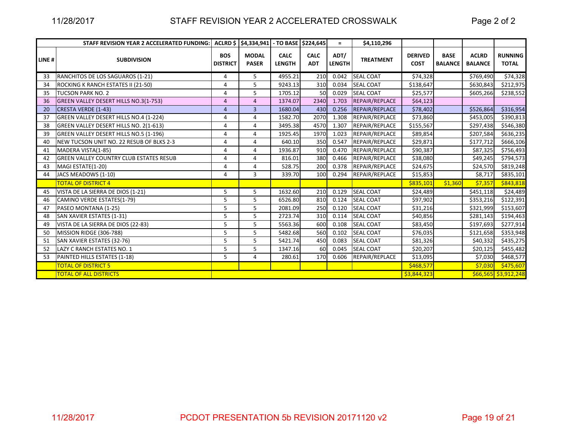#### STAFF REVISION YEAR 2 ACCELERATED CROSSWALK

Page 2 of 2

|       | STAFF REVISION YEAR 2 ACCELERATED FUNDING:     |                               | ACLRD \$ \$4,334,941 - TO BASE \$224,645 |                              |                           | $=$                   | \$4,110,296           |                               |                               |                                |                                |
|-------|------------------------------------------------|-------------------------------|------------------------------------------|------------------------------|---------------------------|-----------------------|-----------------------|-------------------------------|-------------------------------|--------------------------------|--------------------------------|
| LINE# | <b>SUBDIVISION</b>                             | <b>BOS</b><br><b>DISTRICT</b> | <b>MODAL</b><br><b>PASER</b>             | <b>CALC</b><br><b>LENGTH</b> | <b>CALC</b><br><b>ADT</b> | ADT/<br><b>LENGTH</b> | <b>TREATMENT</b>      | <b>DERIVED</b><br><b>COST</b> | <b>BASE</b><br><b>BALANCE</b> | <b>ACLRD</b><br><b>BALANCE</b> | <b>RUNNING</b><br><b>TOTAL</b> |
| 33    | RANCHITOS DE LOS SAGUAROS (1-21)               | 4                             | 5                                        | 4955.21                      | 210                       | 0.042                 | <b>SEAL COAT</b>      | \$74,328                      |                               | \$769,490                      | \$74,328                       |
| 34    | ROCKING K RANCH ESTATES II (21-50)             | 4                             | 5                                        | 9243.13                      | 310                       | 0.034                 | <b>SEAL COAT</b>      | \$138,647                     |                               | \$630,843                      | \$212,975                      |
| 35    | <b>TUCSON PARK NO. 2</b>                       | 4                             | 5                                        | 1705.12                      | 50                        | 0.029                 | <b>SEAL COAT</b>      | \$25,577                      |                               | \$605,266                      | \$238,552                      |
| 36    | GREEN VALLEY DESERT HILLS NO.3(1-753)          | 4                             | $\overline{a}$                           | 1374.07                      | 2340                      | 1.703                 | REPAIR/REPLACE        | \$64,123                      |                               |                                |                                |
| 20    | <b>CRESTA VERDE (1-43)</b>                     | $\overline{4}$                | 3                                        | 1680.04                      | 430                       | 0.256                 | <b>REPAIR/REPLACE</b> | \$78,402                      |                               | \$526,864                      | \$316,954                      |
| 37    | GREEN VALLEY DESERT HILLS NO.4 (1-224)         | 4                             | 4                                        | 1582.70                      | 2070                      | 1.308                 | REPAIR/REPLACE        | \$73,860                      |                               | \$453,005                      | \$390,813                      |
| 38    | GREEN VALLEY DESERT HILLS NO. 2(1-613)         | 4                             | 4                                        | 3495.38                      | 4570                      | 1.307                 | REPAIR/REPLACE        | \$155,567                     |                               | \$297,438                      | \$546,380                      |
| 39    | GREEN VALLEY DESERT HILLS NO.5 (1-196)         | Δ                             | 4                                        | 1925.45                      | 1970                      | 1.023                 | REPAIR/REPLACE        | \$89,854                      |                               | \$207,584                      | \$636,235                      |
| 40    | NEW TUCSON UNIT NO. 22 RESUB OF BLKS 2-3       | 4                             | 4                                        | 640.10                       | 350                       | 0.547                 | REPAIR/REPLACE        | \$29,871                      |                               | \$177,712                      | \$666,106                      |
| 41    | MADERA VISTA(1-85)                             | 4                             | 4                                        | 1936.87                      | 910                       | 0.470                 | REPAIR/REPLACE        | \$90,387                      |                               | \$87,325                       | \$756,493                      |
| 42    | <b>GREEN VALLEY COUNTRY CLUB ESTATES RESUB</b> | 4                             | 4                                        | 816.01                       | 380                       | 0.466                 | REPAIR/REPLACE        | \$38,080                      |                               | \$49,245                       | \$794,573                      |
| 43    | MAGI ESTATE(1-20)                              | 4                             | 4                                        | 528.75                       | 200                       | 0.378                 | REPAIR/REPLACE        | \$24,675                      |                               | \$24,570                       | \$819,248                      |
| 44    | JACS MEADOWS (1-10)                            | 4                             | 3                                        | 339.70                       | 100                       | 0.294                 | REPAIR/REPLACE        | \$15,853                      |                               | \$8,717                        | \$835,101                      |
|       | <b>TOTAL OF DISTRICT 4</b>                     |                               |                                          |                              |                           |                       |                       | \$835,101                     | \$1,360                       | \$7,357                        | \$843,818                      |
| 45    | VISTA DE LA SIERRA DE DIOS (1-21)              | 5                             | 5                                        | 1632.60                      | 210                       | 0.129                 | <b>SEAL COAT</b>      | \$24,489                      |                               | \$451,118                      | \$24,489                       |
| 46    | CAMINO VERDE ESTATES(1-79)                     | 5                             | 5                                        | 6526.80                      | 810                       | 0.124                 | <b>SEAL COAT</b>      | \$97,902                      |                               | \$353,216                      | \$122,391                      |
| 47    | PASEO MONTANA (1-25)                           | 5                             | 5                                        | 2081.09                      | 250                       | 0.120                 | <b>SEAL COAT</b>      | \$31,216                      |                               | \$321,999                      | \$153,607                      |
| 48    | SAN XAVIER ESTATES (1-31)                      | 5                             | 5                                        | 2723.74                      | 310                       | 0.114                 | <b>SEAL COAT</b>      | \$40,856                      |                               | \$281,143                      | \$194,463                      |
| 49    | VISTA DE LA SIERRA DE DIOS (22-83)             | 5                             | 5                                        | 5563.36                      | 600                       | 0.108                 | <b>SEAL COAT</b>      | \$83,450                      |                               | \$197,693                      | \$277,914                      |
| 50    | MISSION RIDGE (306-788)                        | 5                             | 5                                        | 5482.68                      | 560                       | 0.102                 | <b>SEAL COAT</b>      | \$76,035                      |                               | \$121,658                      | \$353,948                      |
| 51    | SAN XAVIER ESTATES (32-76)                     | 5                             | 5                                        | 5421.74                      | 450                       | 0.083                 | <b>SEAL COAT</b>      | \$81,326                      |                               | \$40,332                       | \$435,275                      |
| 52    | LAZY C RANCH ESTATES NO. 1                     | 5                             | 5                                        | 1347.16                      | 60                        | 0.045                 | <b>SEAL COAT</b>      | \$20,207                      |                               | \$20,125                       | \$455,482                      |
| 53    | PAINTED HILLS ESTATES (1-18)                   | 5                             | 4                                        | 280.61                       | 170                       | 0.606                 | REPAIR/REPLACE        | \$13,095                      |                               | \$7,030                        | \$468,577                      |
|       | <b>TOTAL OF DISTRICT 5</b>                     |                               |                                          |                              |                           |                       |                       | \$468,577                     |                               | \$7,030                        | \$475,607                      |
|       | <b>TOTAL OF ALL DISTRICTS</b>                  |                               |                                          |                              |                           |                       |                       | \$3,844,323                   |                               |                                | $$66,565$ \$3,912,248          |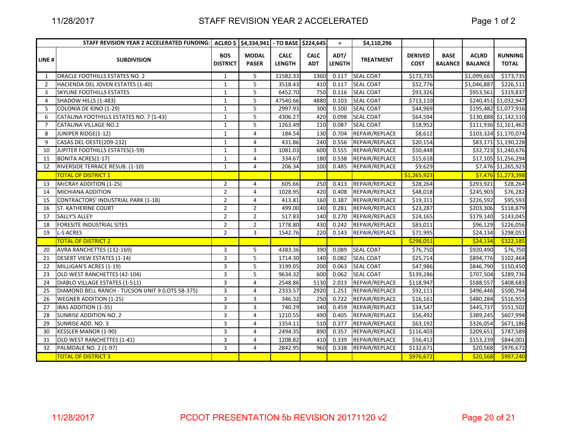## STAFF REVISION YEAR 2 ACCELERATED

|                | STAFF REVISION YEAR 2 ACCELERATED FUNDING:       |                               | ACLRD \$ \$4,334,941 - TO BASE \$224,645 |                              |                           | $\equiv$              | \$4,110,296      |                               |                               |                                |                                |
|----------------|--------------------------------------------------|-------------------------------|------------------------------------------|------------------------------|---------------------------|-----------------------|------------------|-------------------------------|-------------------------------|--------------------------------|--------------------------------|
| LINE #         | <b>SUBDIVISION</b>                               | <b>BOS</b><br><b>DISTRICT</b> | <b>MODAL</b><br><b>PASER</b>             | <b>CALC</b><br><b>LENGTH</b> | <b>CALC</b><br><b>ADT</b> | ADT/<br><b>LENGTH</b> | <b>TREATMENT</b> | <b>DERIVED</b><br><b>COST</b> | <b>BASE</b><br><b>BALANCE</b> | <b>ACLRD</b><br><b>BALANCE</b> | <b>RUNNING</b><br><b>TOTAL</b> |
| 1              | ORACLE FOOTHILLS ESTATES NO. 2                   | $\mathbf{1}$                  | 5                                        | 11582.33                     | 1360                      | 0.117                 | <b>SEAL COAT</b> | \$173,735                     |                               | \$1,099,663                    | \$173,735                      |
| $\overline{2}$ | HACIENDA DEL JOVEN ESTATES (1-40)                | $\mathbf{1}$                  | 5                                        | 3518.43                      | 410                       | 0.117                 | <b>SEAL COAT</b> | \$52,776                      |                               | \$1,046,887                    | \$226,511                      |
| 3              | <b>SKYLINE FOOTHILLS ESTATES</b>                 | $\mathbf{1}$                  | 5                                        | 6452.70                      | 750                       | 0.116                 | <b>SEAL COAT</b> | \$93,326                      |                               | \$953,561                      | \$319,837                      |
| 4              | SHADOW HILLS (1-483)                             | $\mathbf{1}$                  | 5                                        | 47540.66                     | 4880                      | 0.103                 | <b>SEAL COAT</b> | \$713,110                     |                               |                                | \$240,451 \$1,032,947          |
| 5              | COLONIA DE KINO (1-29)                           | $\mathbf{1}$                  | 5                                        | 2997.93                      | 300                       | 0.100                 | <b>SEAL COAT</b> | \$44,969                      |                               |                                | \$195,482 \$1,077,916          |
| 6              | CATALINA FOOTHILLS ESTATES NO. 7 (1-43)          | $\mathbf{1}$                  | 5                                        | 4306.27                      | 420                       | 0.098                 | <b>SEAL COAT</b> | \$64,594                      |                               |                                | \$130,888 \$1,142,510          |
| $\overline{7}$ | <b>CATALINA VILLAGE NO.2</b>                     | $\mathbf{1}$                  | 5                                        | 1263.49                      | 110                       | 0.087                 | <b>SEAL COAT</b> | \$18,952                      |                               |                                | \$111,936 \$1,161,462          |
| 8              | JUNIPER RIDGE(1-12)                              | $\mathbf{1}$                  | 4                                        | 184.54                       | 130                       | 0.704                 | REPAIR/REPLACE   | \$8,612                       |                               |                                | \$103,324 \$1,170,074          |
| q              | CASAS DEL OESTE(209-232)                         | $\mathbf{1}$                  | 4                                        | 431.86                       | 240                       | 0.556                 | REPAIR/REPLACE   | \$20,154                      |                               |                                | \$83,171 \$1,190,228           |
| 10             | JUPITER FOOTHILLS ESTATES(1-59)                  | $\mathbf{1}$                  | 3                                        | 1081.03                      | 600                       | 0.555                 | REPAIR/REPLACE   | \$50,448                      |                               |                                | \$32,723 \$1,240,676           |
| 11             | <b>BONITA ACRES(1-17)</b>                        | $\mathbf{1}$                  | $\overline{4}$                           | 334.67                       | 180                       | 0.538                 | REPAIR/REPLACE   | \$15,618                      |                               |                                | \$17,105 \$1,256,294           |
| 12             | RIVERSIDE TERRACE RESUB. (1-10)                  | $\mathbf{1}$                  | 4                                        | 206.34                       | 100                       | 0.485                 | REPAIR/REPLACE   | \$9,629                       |                               |                                | \$7,476 \$1,265,923            |
|                | <b>TOTAL OF DISTRICT 1</b>                       |                               |                                          |                              |                           |                       |                  | \$1,265,923                   |                               |                                | \$7,476 \$1,273,398            |
| 13             | McCRAY ADDITION (1-25)                           | $\overline{2}$                | 4                                        | 605.66                       | 250                       | 0.413                 | REPAIR/REPLACE   | \$28,264                      |                               | \$293,921                      | \$28,264                       |
| 14             | <b>MICHIANA ADDITION</b>                         | $\overline{2}$                | $\overline{4}$                           | 1028.95                      | 420                       | 0.408                 | REPAIR/REPLACE   | \$48,018                      |                               | \$245,903                      | \$76,282                       |
| 15             | <b>CONTRACTORS' INDUSTRIAL PARK (1-18)</b>       | $\overline{2}$                | $\overline{4}$                           | 413.81                       | 160                       | 0.387                 | REPAIR/REPLACE   | \$19,311                      |                               | \$226,592                      | \$95,593                       |
| 16             | <b>ST. KATHERINE COURT</b>                       | $\overline{2}$                | $\overline{2}$                           | 499.00                       | 140                       | 0.281                 | REPAIR/REPLACE   | \$23,287                      |                               | \$203,306                      | \$118,879                      |
| 17             | <b>SALLY'S ALLEY</b>                             | $\overline{2}$                | $\overline{2}$                           | 517.83                       | 140                       | 0.270                 | REPAIR/REPLACE   | \$24,165                      |                               | \$179,140                      | \$143,045                      |
| 18             | FORESITE INDUSTRIAL SITES                        | $\overline{2}$                | $\overline{2}$                           | 1778.80                      | 430                       | 0.242                 | REPAIR/REPLACE   | \$83,011                      |                               | \$96,129                       | \$226,056                      |
| 19             | <b>L-S ACRES</b>                                 | $\overline{2}$                | 3                                        | 1542.76                      | 220                       | 0.143                 | REPAIR/REPLACE   | \$71,995                      |                               | \$24,134                       | \$298,051                      |
|                | <b>TOTAL OF DISTRICT 2</b>                       |                               |                                          |                              |                           |                       |                  | \$298,051                     |                               | \$24,134                       | \$322,185                      |
| 20             | AVRA RANCHETTES (132-169)                        | 3                             | 5                                        | 4383.36                      | 390                       | 0.089                 | <b>SEAL COAT</b> | \$76,750                      |                               | \$920,490                      | \$76,750                       |
| 21             | DESERT VIEW ESTATES (1-14)                       | 3                             | 5                                        | 1714.30                      | 140                       | 0.082                 | <b>SEAL COAT</b> | \$25,714                      |                               | \$894,776                      | \$102,464                      |
| 22             | MILLIGAN'S ACRES (1-19)                          | 3                             | 5                                        | 3199.05                      | 200                       | 0.063                 | <b>SEAL COAT</b> | \$47,986                      |                               | \$846,790                      | \$150,450                      |
| 23             | OLD WEST RANCHETTES (42-104)                     | 3                             | 5                                        | 9634.32                      | 600                       | 0.062                 | <b>SEAL COAT</b> | \$139,286                     |                               | \$707,504                      | \$289,736                      |
| 24             | <b>DIABLO VILLAGE ESTATES (1-511)</b>            | 3                             | 4                                        | 2548.86                      | 5130                      | 2.013                 | REPAIR/REPLACE   | \$118,947                     |                               | \$588,557                      | \$408,683                      |
| 25             | DIAMOND BELL RANCH - TUCSON UNIT 9 (LOTS 58-375) | 3                             | 4                                        | 2333.57                      | 2920                      | 1.251                 | REPAIR/REPLACE   | \$92,111                      |                               | \$496,446                      | \$500,794                      |
| 26             | <b>WEGNER ADDITION (1-25)</b>                    | 3                             | 3                                        | 346.32                       | 250                       | 0.722                 | REPAIR/REPLACE   | \$16,161                      |                               | \$480,284                      | \$516,955                      |
| 27             | IRAS ADDITION (1-35)                             | 3                             | 3                                        | 740.29                       | 340                       | 0.459                 | REPAIR/REPLACE   | \$34,547                      |                               | \$445,737                      | \$551,502                      |
| 28             | <b>SUNRISE ADDITION NO. 2</b>                    | 3                             | 4                                        | 1210.55                      | 490                       | 0.405                 | REPAIR/REPLACE   | \$56,492                      |                               | \$389,245                      | \$607,994                      |
| 29             | SUNRISE ADD. NO. 3                               | 3                             | 4                                        | 1354.11                      | 510                       | 0.377                 | REPAIR/REPLACE   | \$63,192                      |                               | \$326,054                      | \$671,186                      |
| 30             | <b>KESSLER MANOR (1-90)</b>                      | 3                             | 4                                        | 2494.35                      | 890                       | 0.357                 | REPAIR/REPLACE   | \$116,403                     |                               | \$209,651                      | \$787,589                      |
| 31             | OLD WEST RANCHETTES (1-41)                       | 3                             | 4                                        | 1208.82                      | 410                       | 0.339                 | REPAIR/REPLACE   | \$56,412                      |                               | \$153,239                      | \$844,001                      |
| 32             | PALMDALE NO. 2 (1-97)                            | 3                             | 4                                        | 2842.95                      | 960                       | 0.338                 | REPAIR/REPLACE   | \$132,671                     |                               | \$20,568                       | \$976,672                      |
|                | <b>TOTAL OF DISTRICT 3</b>                       |                               |                                          |                              |                           |                       |                  | \$976,672                     |                               | \$20,568                       | \$997,240                      |